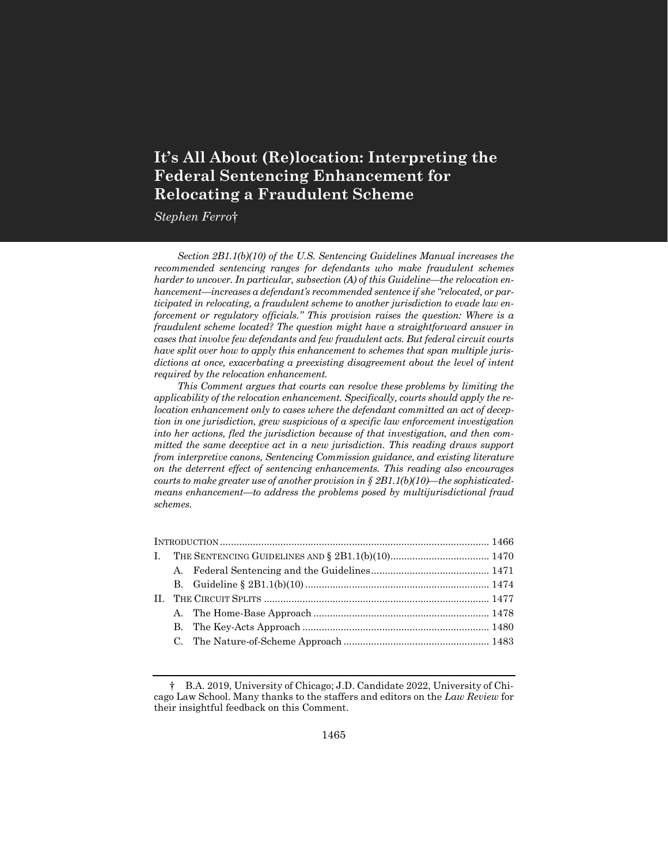# **It's All About (Re)location: Interpreting the Federal Sentencing Enhancement for Relocating a Fraudulent Scheme**

*Stephen Ferro*†

*Section 2B1.1(b)(10) of the U.S. Sentencing Guidelines Manual increases the recommended sentencing ranges for defendants who make fraudulent schemes harder to uncover. In particular, subsection (A) of this Guideline—the relocation enhancement—increases a defendant's recommended sentence if she "relocated, or participated in relocating, a fraudulent scheme to another jurisdiction to evade law enforcement or regulatory officials." This provision raises the question: Where is a fraudulent scheme located? The question might have a straightforward answer in cases that involve few defendants and few fraudulent acts. But federal circuit courts have split over how to apply this enhancement to schemes that span multiple jurisdictions at once, exacerbating a preexisting disagreement about the level of intent required by the relocation enhancement.*

*This Comment argues that courts can resolve these problems by limiting the applicability of the relocation enhancement. Specifically, courts should apply the relocation enhancement only to cases where the defendant committed an act of deception in one jurisdiction, grew suspicious of a specific law enforcement investigation into her actions, fled the jurisdiction because of that investigation, and then committed the same deceptive act in a new jurisdiction. This reading draws support from interpretive canons, Sentencing Commission guidance, and existing literature on the deterrent effect of sentencing enhancements. This reading also encourages courts to make greater use of another provision in*  $\S$  *2B1.1(b)(10)—the sophisticatedmeans enhancement—to address the problems posed by multijurisdictional fraud schemes.*

<sup>†</sup> B.A. 2019, University of Chicago; J.D. Candidate 2022, University of Chicago Law School. Many thanks to the staffers and editors on the *Law Review* for their insightful feedback on this Comment.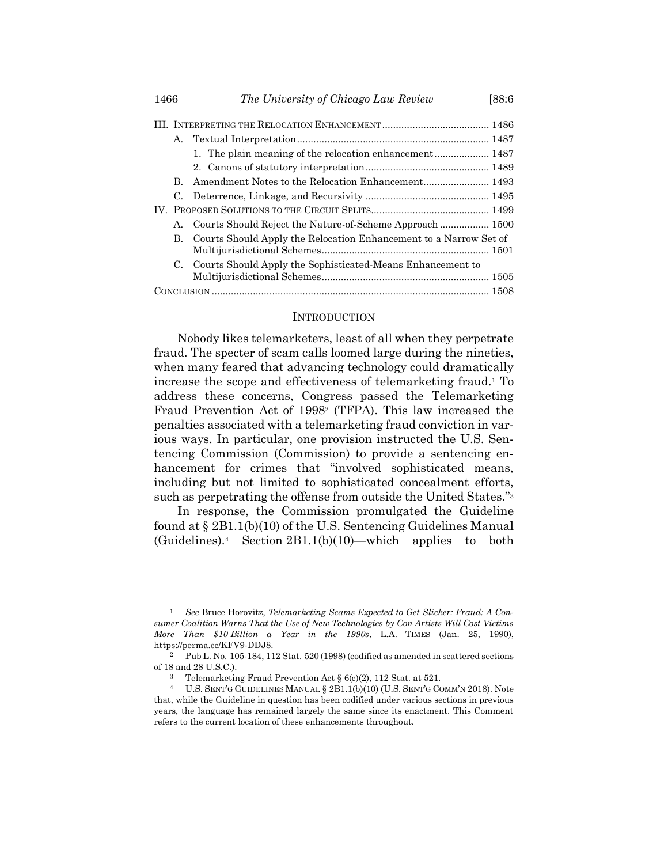|  | А. |                                                                   |  |  |  |  |  |
|--|----|-------------------------------------------------------------------|--|--|--|--|--|
|  |    |                                                                   |  |  |  |  |  |
|  |    |                                                                   |  |  |  |  |  |
|  | В. |                                                                   |  |  |  |  |  |
|  | C. |                                                                   |  |  |  |  |  |
|  |    |                                                                   |  |  |  |  |  |
|  | А. | Courts Should Reject the Nature-of-Scheme Approach  1500          |  |  |  |  |  |
|  | В. | Courts Should Apply the Relocation Enhancement to a Narrow Set of |  |  |  |  |  |
|  |    |                                                                   |  |  |  |  |  |
|  | C. | Courts Should Apply the Sophisticated-Means Enhancement to        |  |  |  |  |  |
|  |    |                                                                   |  |  |  |  |  |
|  |    |                                                                   |  |  |  |  |  |

#### **INTRODUCTION**

Nobody likes telemarketers, least of all when they perpetrate fraud. The specter of scam calls loomed large during the nineties, when many feared that advancing technology could dramatically increase the scope and effectiveness of telemarketing fraud.<sup>1</sup> To address these concerns, Congress passed the Telemarketing Fraud Prevention Act of 1998<sup>2</sup> (TFPA). This law increased the penalties associated with a telemarketing fraud conviction in various ways. In particular, one provision instructed the U.S. Sentencing Commission (Commission) to provide a sentencing enhancement for crimes that "involved sophisticated means, including but not limited to sophisticated concealment efforts, such as perpetrating the offense from outside the United States."<sup>3</sup>

In response, the Commission promulgated the Guideline found at § 2B1.1(b)(10) of the U.S. Sentencing Guidelines Manual  $(Guidelines).4$  Section  $2B1.1(b)(10)$ —which applies to both

<sup>1</sup> *See* Bruce Horovitz, *Telemarketing Scams Expected to Get Slicker: Fraud: A Consumer Coalition Warns That the Use of New Technologies by Con Artists Will Cost Victims More Than \$10 Billion a Year in the 1990s*, L.A. TIMES (Jan. 25, 1990), https://perma.cc/KFV9-DDJ8.

<sup>2</sup> Pub L. No. 105-184, 112 Stat. 520 (1998) (codified as amended in scattered sections of 18 and 28 U.S.C.).

<sup>3</sup> Telemarketing Fraud Prevention Act § 6(c)(2), 112 Stat. at 521.

<sup>4</sup> U.S. SENT'G GUIDELINES MANUAL § 2B1.1(b)(10) (U.S. SENT'G COMM'N 2018). Note that, while the Guideline in question has been codified under various sections in previous years, the language has remained largely the same since its enactment. This Comment refers to the current location of these enhancements throughout.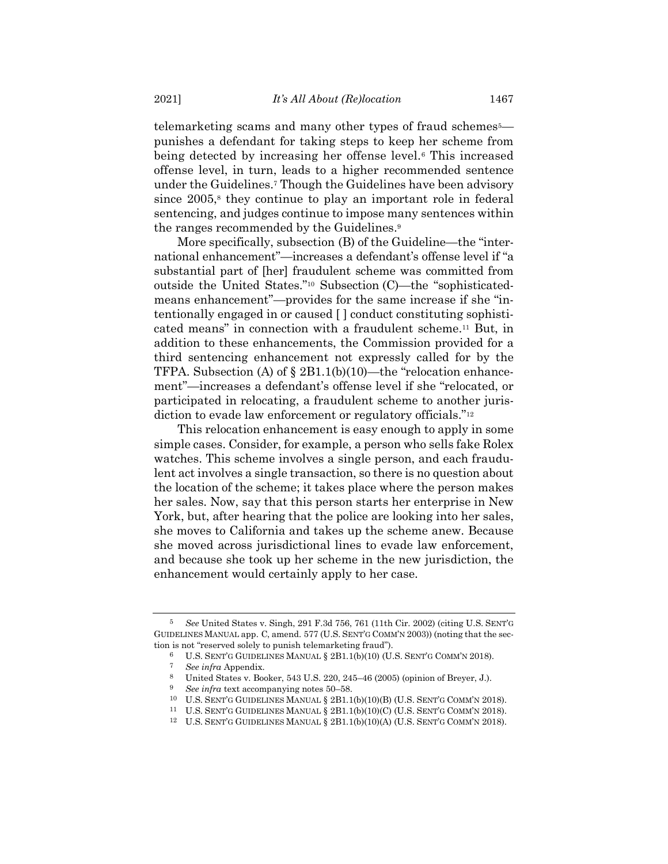telemarketing scams and many other types of fraud schemes<sup>5</sup> punishes a defendant for taking steps to keep her scheme from being detected by increasing her offense level.<sup>6</sup> This increased offense level, in turn, leads to a higher recommended sentence under the Guidelines.<sup>7</sup> Though the Guidelines have been advisory since  $2005$ <sup>8</sup>, they continue to play an important role in federal sentencing, and judges continue to impose many sentences within the ranges recommended by the Guidelines. 9

More specifically, subsection (B) of the Guideline—the "international enhancement"—increases a defendant's offense level if "a substantial part of [her] fraudulent scheme was committed from outside the United States."<sup>10</sup> Subsection (C)—the "sophisticatedmeans enhancement"—provides for the same increase if she "intentionally engaged in or caused [ ] conduct constituting sophisticated means" in connection with a fraudulent scheme.<sup>11</sup> But, in addition to these enhancements, the Commission provided for a third sentencing enhancement not expressly called for by the TFPA. Subsection (A) of § 2B1.1(b)(10)—the "relocation enhancement"—increases a defendant's offense level if she "relocated, or participated in relocating, a fraudulent scheme to another jurisdiction to evade law enforcement or regulatory officials."<sup>12</sup>

This relocation enhancement is easy enough to apply in some simple cases. Consider, for example, a person who sells fake Rolex watches. This scheme involves a single person, and each fraudulent act involves a single transaction, so there is no question about the location of the scheme; it takes place where the person makes her sales. Now, say that this person starts her enterprise in New York, but, after hearing that the police are looking into her sales, she moves to California and takes up the scheme anew. Because she moved across jurisdictional lines to evade law enforcement, and because she took up her scheme in the new jurisdiction, the enhancement would certainly apply to her case.

<sup>5</sup> *See* United States v. Singh, 291 F.3d 756, 761 (11th Cir. 2002) (citing U.S. SENT'G GUIDELINES MANUAL app. C, amend. 577 (U.S. SENT'G COMM'N 2003)) (noting that the section is not "reserved solely to punish telemarketing fraud").

<sup>6</sup> U.S. SENT'G GUIDELINES MANUAL § 2B1.1(b)(10) (U.S. SENT'G COMM'N 2018).

<sup>7</sup> *See infra* Appendix.

<sup>8</sup> United States v. Booker, 543 U.S. 220, 245–46 (2005) (opinion of Breyer, J.).

<sup>9</sup> *See infra* text accompanying notes [50](#page-8-0)–[58.](#page-9-0)

<sup>10</sup> U.S. SENT'G GUIDELINES MANUAL § 2B1.1(b)(10)(B) (U.S. SENT'G COMM'N 2018).

<sup>11</sup> U.S. SENT'G GUIDELINES MANUAL § 2B1.1(b)(10)(C) (U.S. SENT'G COMM'N 2018).

 $12$  U.S. SENT'G GUIDELINES MANUAL § 2B1.1(b)(10)(A) (U.S. SENT'G COMM'N 2018).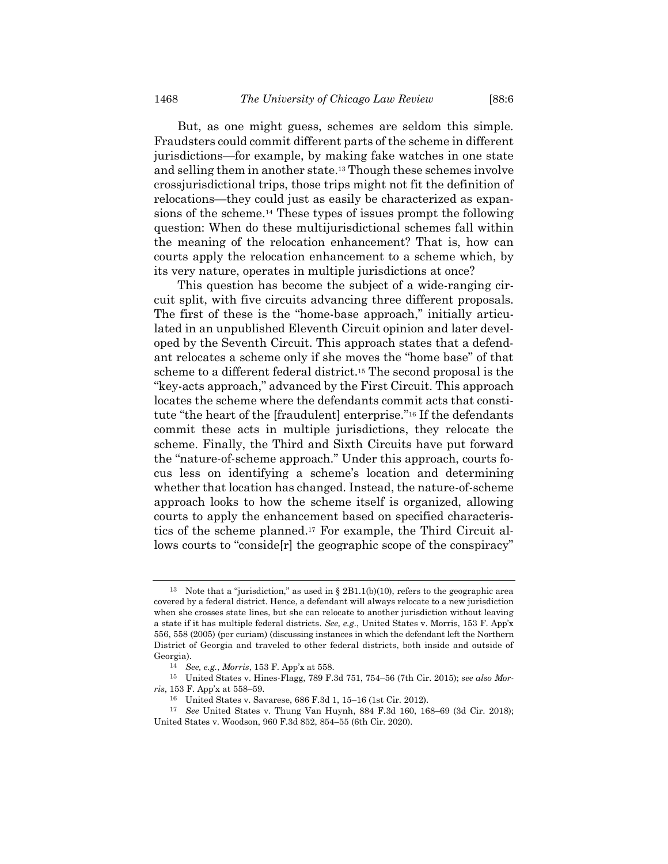But, as one might guess, schemes are seldom this simple. Fraudsters could commit different parts of the scheme in different jurisdictions—for example, by making fake watches in one state and selling them in another state.<sup>13</sup> Though these schemes involve crossjurisdictional trips, those trips might not fit the definition of relocations—they could just as easily be characterized as expansions of the scheme.<sup>14</sup> These types of issues prompt the following question: When do these multijurisdictional schemes fall within the meaning of the relocation enhancement? That is, how can courts apply the relocation enhancement to a scheme which, by its very nature, operates in multiple jurisdictions at once?

This question has become the subject of a wide-ranging circuit split, with five circuits advancing three different proposals. The first of these is the "home-base approach," initially articulated in an unpublished Eleventh Circuit opinion and later developed by the Seventh Circuit. This approach states that a defendant relocates a scheme only if she moves the "home base" of that scheme to a different federal district.<sup>15</sup> The second proposal is the "key-acts approach," advanced by the First Circuit. This approach locates the scheme where the defendants commit acts that constitute "the heart of the [fraudulent] enterprise."<sup>16</sup> If the defendants commit these acts in multiple jurisdictions, they relocate the scheme. Finally, the Third and Sixth Circuits have put forward the "nature-of-scheme approach." Under this approach, courts focus less on identifying a scheme's location and determining whether that location has changed. Instead, the nature-of-scheme approach looks to how the scheme itself is organized, allowing courts to apply the enhancement based on specified characteristics of the scheme planned. <sup>17</sup> For example, the Third Circuit allows courts to "conside[r] the geographic scope of the conspiracy"

<sup>&</sup>lt;sup>13</sup> Note that a "jurisdiction," as used in § 2B1.1(b)(10), refers to the geographic area covered by a federal district. Hence, a defendant will always relocate to a new jurisdiction when she crosses state lines, but she can relocate to another jurisdiction without leaving a state if it has multiple federal districts. *See, e.g.*, United States v. Morris, 153 F. App'x 556, 558 (2005) (per curiam) (discussing instances in which the defendant left the Northern District of Georgia and traveled to other federal districts, both inside and outside of Georgia).

<sup>14</sup> *See, e.g.*, *Morris*, 153 F. App'x at 558.

<sup>15</sup> United States v. Hines-Flagg, 789 F.3d 751, 754–56 (7th Cir. 2015); *see also Morris*, 153 F. App'x at 558–59.

<sup>16</sup> United States v. Savarese, 686 F.3d 1, 15–16 (1st Cir. 2012).

<sup>17</sup> *See* United States v. Thung Van Huynh, 884 F.3d 160, 168–69 (3d Cir. 2018); United States v. Woodson, 960 F.3d 852, 854–55 (6th Cir. 2020).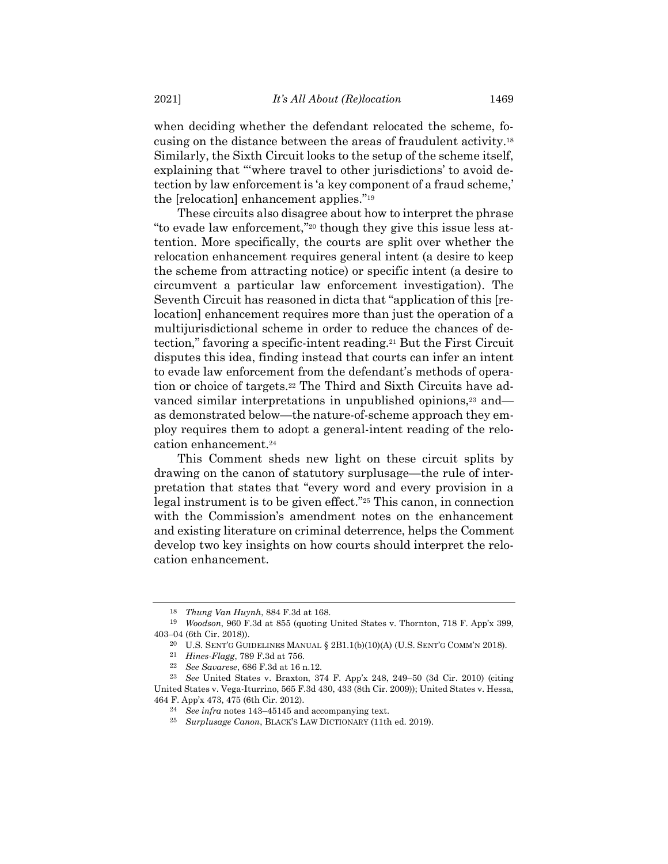when deciding whether the defendant relocated the scheme, focusing on the distance between the areas of fraudulent activity.<sup>18</sup> Similarly, the Sixth Circuit looks to the setup of the scheme itself, explaining that "'where travel to other jurisdictions' to avoid detection by law enforcement is 'a key component of a fraud scheme,' the [relocation] enhancement applies."<sup>19</sup>

These circuits also disagree about how to interpret the phrase "to evade law enforcement,"<sup>20</sup> though they give this issue less attention. More specifically, the courts are split over whether the relocation enhancement requires general intent (a desire to keep the scheme from attracting notice) or specific intent (a desire to circumvent a particular law enforcement investigation). The Seventh Circuit has reasoned in dicta that "application of this [relocation] enhancement requires more than just the operation of a multijurisdictional scheme in order to reduce the chances of detection," favoring a specific-intent reading.<sup>21</sup> But the First Circuit disputes this idea, finding instead that courts can infer an intent to evade law enforcement from the defendant's methods of operation or choice of targets.<sup>22</sup> The Third and Sixth Circuits have advanced similar interpretations in unpublished opinions,<sup>23</sup> and as demonstrated below—the nature-of-scheme approach they employ requires them to adopt a general-intent reading of the relocation enhancement.<sup>24</sup>

This Comment sheds new light on these circuit splits by drawing on the canon of statutory surplusage—the rule of interpretation that states that "every word and every provision in a legal instrument is to be given effect."<sup>25</sup> This canon, in connection with the Commission's amendment notes on the enhancement and existing literature on criminal deterrence, helps the Comment develop two key insights on how courts should interpret the relocation enhancement.

<sup>18</sup> *Thung Van Huynh*, 884 F.3d at 168.

<sup>19</sup> *Woodson*, 960 F.3d at 855 (quoting United States v. Thornton, 718 F. App'x 399, 403–04 (6th Cir. 2018)).

<sup>&</sup>lt;sup>20</sup> U.S. SENT'G GUIDELINES MANUAL  $\S$  2B1.1(b)(10)(A) (U.S. SENT'G COMM'N 2018).

<sup>21</sup> *Hines-Flagg*, 789 F.3d at 756.

<sup>22</sup> *See Savarese*, 686 F.3d at 16 n.12.

<sup>23</sup> *See* United States v. Braxton, 374 F. App'x 248, 249–50 (3d Cir. 2010) (citing United States v. Vega-Iturrino, 565 F.3d 430, 433 (8th Cir. 2009)); United States v. Hessa, 464 F. App'x 473, 475 (6th Cir. 2012).

<sup>24</sup> *See infra* notes [143](#page-23-0)–4[5145](#page-24-0) and accompanying text.

<sup>25</sup> *Surplusage Canon*, BLACK'S LAW DICTIONARY (11th ed. 2019).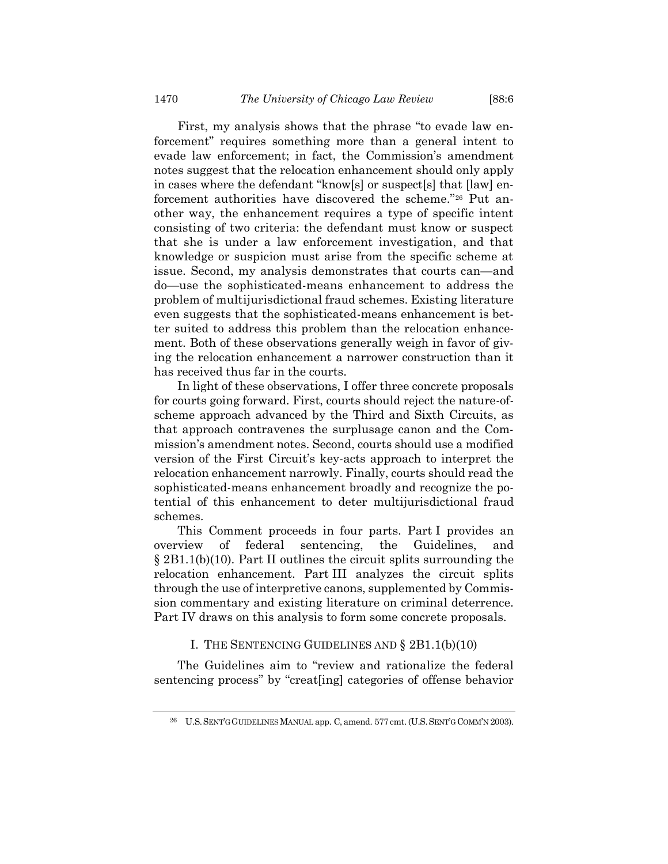First, my analysis shows that the phrase "to evade law enforcement" requires something more than a general intent to evade law enforcement; in fact, the Commission's amendment notes suggest that the relocation enhancement should only apply in cases where the defendant "know[s] or suspect[s] that [law] enforcement authorities have discovered the scheme."<sup>26</sup> Put another way, the enhancement requires a type of specific intent consisting of two criteria: the defendant must know or suspect that she is under a law enforcement investigation, and that knowledge or suspicion must arise from the specific scheme at issue. Second, my analysis demonstrates that courts can—and do—use the sophisticated-means enhancement to address the problem of multijurisdictional fraud schemes. Existing literature even suggests that the sophisticated-means enhancement is better suited to address this problem than the relocation enhancement. Both of these observations generally weigh in favor of giving the relocation enhancement a narrower construction than it has received thus far in the courts.

In light of these observations, I offer three concrete proposals for courts going forward. First, courts should reject the nature-ofscheme approach advanced by the Third and Sixth Circuits, as that approach contravenes the surplusage canon and the Commission's amendment notes. Second, courts should use a modified version of the First Circuit's key-acts approach to interpret the relocation enhancement narrowly. Finally, courts should read the sophisticated-means enhancement broadly and recognize the potential of this enhancement to deter multijurisdictional fraud schemes.

This Comment proceeds in four parts. Part I provides an overview of federal sentencing, the Guidelines, and § 2B1.1(b)(10). Part II outlines the circuit splits surrounding the relocation enhancement. Part III analyzes the circuit splits through the use of interpretive canons, supplemented by Commission commentary and existing literature on criminal deterrence. Part IV draws on this analysis to form some concrete proposals.

# I. THE SENTENCING GUIDELINES AND § 2B1.1(b)(10)

The Guidelines aim to "review and rationalize the federal sentencing process" by "creat[ing] categories of offense behavior

<sup>26</sup> U.S.SENT'G GUIDELINES MANUAL app. C, amend. 577 cmt. (U.S.SENT'G COMM'N 2003).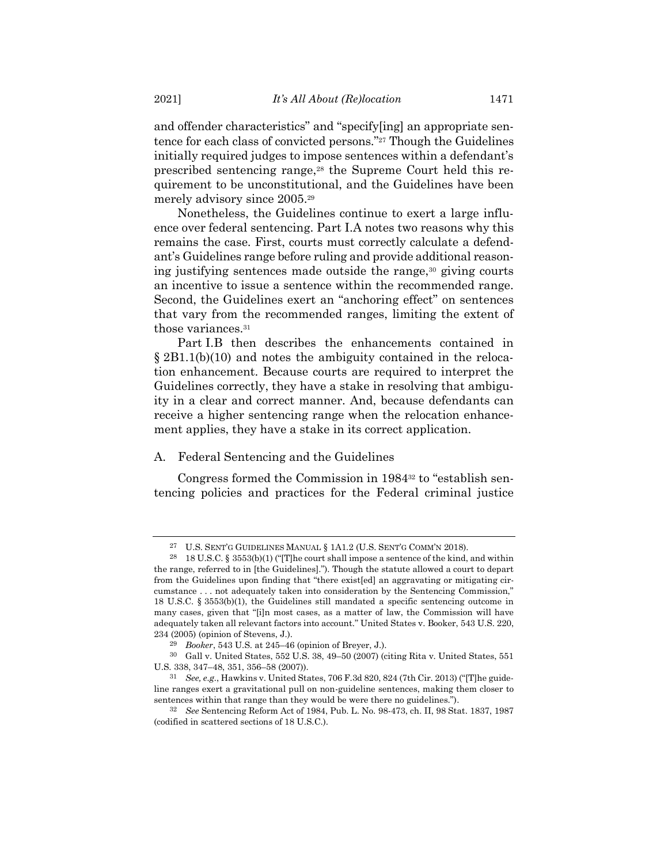and offender characteristics" and "specify[ing] an appropriate sentence for each class of convicted persons."<sup>27</sup> Though the Guidelines initially required judges to impose sentences within a defendant's prescribed sentencing range,<sup>28</sup> the Supreme Court held this requirement to be unconstitutional, and the Guidelines have been merely advisory since 2005.<sup>29</sup>

Nonetheless, the Guidelines continue to exert a large influence over federal sentencing. Part I.A notes two reasons why this remains the case. First, courts must correctly calculate a defendant's Guidelines range before ruling and provide additional reasoning justifying sentences made outside the range,<sup>30</sup> giving courts an incentive to issue a sentence within the recommended range. Second, the Guidelines exert an "anchoring effect" on sentences that vary from the recommended ranges, limiting the extent of those variances.<sup>31</sup>

Part I.B then describes the enhancements contained in § 2B1.1(b)(10) and notes the ambiguity contained in the relocation enhancement. Because courts are required to interpret the Guidelines correctly, they have a stake in resolving that ambiguity in a clear and correct manner. And, because defendants can receive a higher sentencing range when the relocation enhancement applies, they have a stake in its correct application.

# A. Federal Sentencing and the Guidelines

Congress formed the Commission in 1984<sup>32</sup> to "establish sentencing policies and practices for the Federal criminal justice

<sup>27</sup> U.S. SENT'G GUIDELINES MANUAL § 1A1.2 (U.S. SENT'G COMM'N 2018).

<sup>&</sup>lt;sup>28</sup> 18 U.S.C. § 3553(b)(1) ("[T]he court shall impose a sentence of the kind, and within the range, referred to in [the Guidelines]."). Though the statute allowed a court to depart from the Guidelines upon finding that "there exist[ed] an aggravating or mitigating circumstance . . . not adequately taken into consideration by the Sentencing Commission," 18 U.S.C. § 3553(b)(1), the Guidelines still mandated a specific sentencing outcome in many cases, given that "[i]n most cases, as a matter of law, the Commission will have adequately taken all relevant factors into account." United States v. Booker, 543 U.S. 220, 234 (2005) (opinion of Stevens, J.).

<sup>29</sup> *Booker*, 543 U.S. at 245–46 (opinion of Breyer, J.).

<sup>30</sup> Gall v. United States, 552 U.S. 38, 49–50 (2007) (citing Rita v. United States, 551 U.S. 338, 347–48, 351, 356–58 (2007)).

<sup>31</sup> *See, e.g.*, Hawkins v. United States, 706 F.3d 820, 824 (7th Cir. 2013) ("[T]he guideline ranges exert a gravitational pull on non-guideline sentences, making them closer to sentences within that range than they would be were there no guidelines.").

<sup>32</sup> *See* Sentencing Reform Act of 1984, Pub. L. No. 98-473, ch. II, 98 Stat. 1837, 1987 (codified in scattered sections of 18 U.S.C.).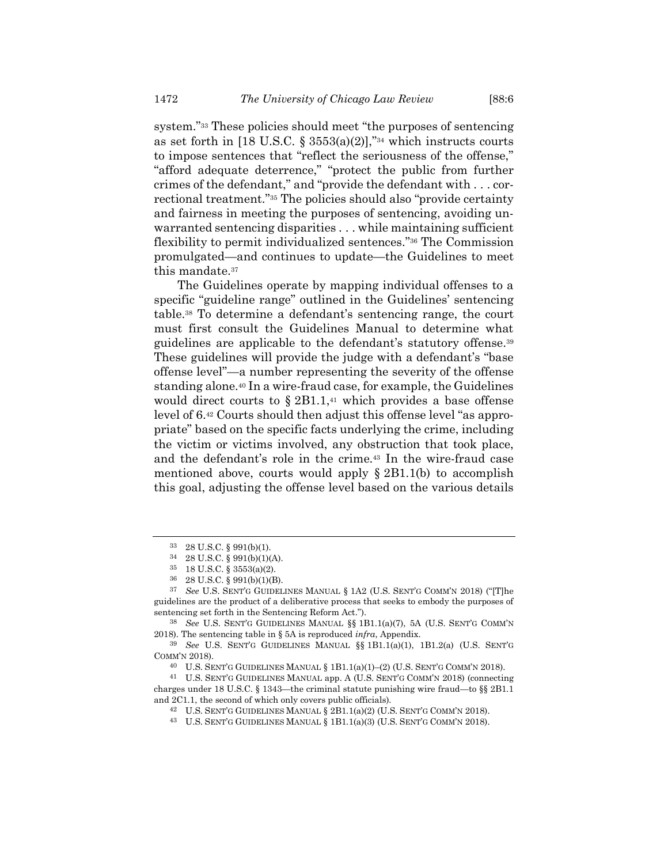system."<sup>33</sup> These policies should meet "the purposes of sentencing as set forth in [18 U.S.C. § 3553(a)(2)],"34 which instructs courts to impose sentences that "reflect the seriousness of the offense," "afford adequate deterrence," "protect the public from further crimes of the defendant," and "provide the defendant with . . . correctional treatment."<sup>35</sup> The policies should also "provide certainty and fairness in meeting the purposes of sentencing, avoiding unwarranted sentencing disparities . . . while maintaining sufficient flexibility to permit individualized sentences." <sup>36</sup> The Commission promulgated—and continues to update—the Guidelines to meet this mandate.<sup>37</sup>

The Guidelines operate by mapping individual offenses to a specific "guideline range" outlined in the Guidelines' sentencing table.<sup>38</sup> To determine a defendant's sentencing range, the court must first consult the Guidelines Manual to determine what guidelines are applicable to the defendant's statutory offense.<sup>39</sup> These guidelines will provide the judge with a defendant's "base offense level"—a number representing the severity of the offense standing alone.<sup>40</sup> In a wire-fraud case, for example, the Guidelines would direct courts to  $\S 2B1.1$ ,<sup>41</sup> which provides a base offense level of 6. <sup>42</sup> Courts should then adjust this offense level "as appropriate" based on the specific facts underlying the crime, including the victim or victims involved, any obstruction that took place, and the defendant's role in the crime.<sup>43</sup> In the wire-fraud case mentioned above, courts would apply  $\S 2B1.1(b)$  to accomplish this goal, adjusting the offense level based on the various details

<sup>33</sup> 28 U.S.C. § 991(b)(1).

<sup>34</sup> 28 U.S.C. § 991(b)(1)(A).

<sup>35</sup> 18 U.S.C. § 3553(a)(2).

<sup>36</sup> 28 U.S.C. § 991(b)(1)(B).

<sup>37</sup> *See* U.S. SENT'G GUIDELINES MANUAL § 1A2 (U.S. SENT'G COMM'N 2018) ("[T]he guidelines are the product of a deliberative process that seeks to embody the purposes of sentencing set forth in the Sentencing Reform Act.").

<sup>38</sup> *See* U.S. SENT'G GUIDELINES MANUAL §§ 1B1.1(a)(7), 5A (U.S. SENT'G COMM'N 2018). The sentencing table in § 5A is reproduced *infra*, Appendix.

<sup>39</sup> *See* U.S. SENT'G GUIDELINES MANUAL §§ 1B1.1(a)(1), 1B1.2(a) (U.S. SENT'G COMM'N 2018).

 $40$  U.S. SENT'G GUIDELINES MANUAL § 1B1.1(a)(1)–(2) (U.S. SENT'G COMM'N 2018).

<sup>41</sup> U.S. SENT'G GUIDELINES MANUAL app. A (U.S. SENT'G COMM'N 2018) (connecting charges under 18 U.S.C. § 1343—the criminal statute punishing wire fraud—to §§ 2B1.1 and 2C1.1, the second of which only covers public officials).

<sup>42</sup> U.S. SENT'G GUIDELINES MANUAL § 2B1.1(a)(2) (U.S. SENT'G COMM'N 2018).

<sup>43</sup> U.S. SENT'G GUIDELINES MANUAL § 1B1.1(a)(3) (U.S. SENT'G COMM'N 2018).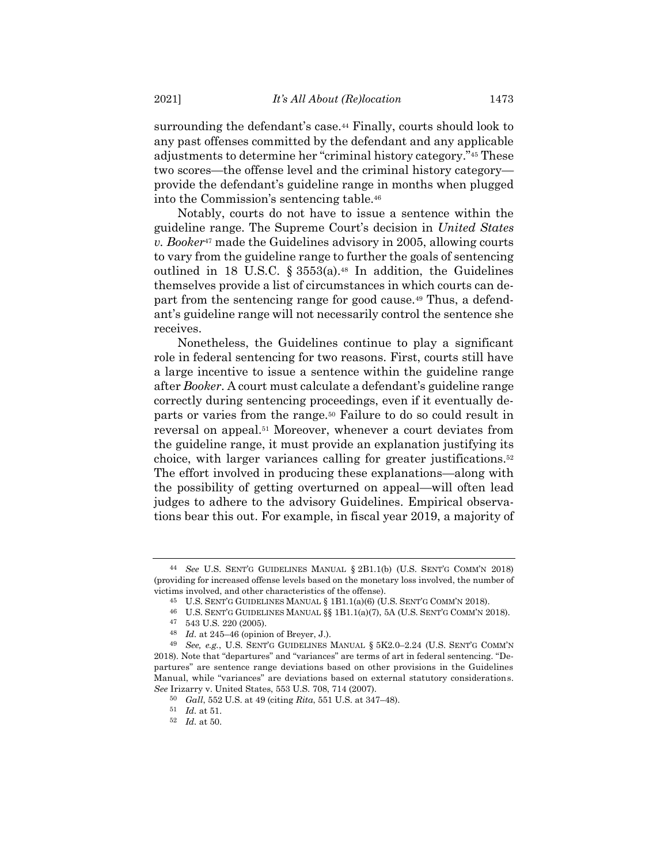surrounding the defendant's case.<sup>44</sup> Finally, courts should look to any past offenses committed by the defendant and any applicable adjustments to determine her "criminal history category."<sup>45</sup> These two scores—the offense level and the criminal history category provide the defendant's guideline range in months when plugged into the Commission's sentencing table.<sup>46</sup>

Notably, courts do not have to issue a sentence within the guideline range. The Supreme Court's decision in *United States v. Booker*<sup>47</sup> made the Guidelines advisory in 2005, allowing courts to vary from the guideline range to further the goals of sentencing outlined in 18 U.S.C.  $\S 3553(a)$ .<sup>48</sup> In addition, the Guidelines themselves provide a list of circumstances in which courts can depart from the sentencing range for good cause.<sup>49</sup> Thus, a defendant's guideline range will not necessarily control the sentence she receives.

<span id="page-8-0"></span>Nonetheless, the Guidelines continue to play a significant role in federal sentencing for two reasons. First, courts still have a large incentive to issue a sentence within the guideline range after *Booker*. A court must calculate a defendant's guideline range correctly during sentencing proceedings, even if it eventually departs or varies from the range.<sup>50</sup> Failure to do so could result in reversal on appeal.<sup>51</sup> Moreover, whenever a court deviates from the guideline range, it must provide an explanation justifying its choice, with larger variances calling for greater justifications.<sup>52</sup> The effort involved in producing these explanations—along with the possibility of getting overturned on appeal—will often lead judges to adhere to the advisory Guidelines. Empirical observations bear this out. For example, in fiscal year 2019, a majority of

<sup>44</sup> *See* U.S. SENT'G GUIDELINES MANUAL § 2B1.1(b) (U.S. SENT'G COMM'N 2018) (providing for increased offense levels based on the monetary loss involved, the number of victims involved, and other characteristics of the offense).

<sup>45</sup> U.S. SENT'G GUIDELINES MANUAL § 1B1.1(a)(6) (U.S. SENT'G COMM'N 2018).

<sup>46</sup> U.S. SENT'G GUIDELINES MANUAL  $\S$ § 1B1.1(a)(7), 5A (U.S. SENT'G COMM'N 2018).<br>47 543 U S 220 (2005)

<sup>47</sup> 543 U.S. 220 (2005).

<sup>48</sup> *Id.* at 245–46 (opinion of Breyer, J.).

<sup>49</sup> *See, e.g.*, U.S. SENT'G GUIDELINES MANUAL § 5K2.0–2.24 (U.S. SENT'G COMM'N 2018). Note that "departures" and "variances" are terms of art in federal sentencing. "Departures" are sentence range deviations based on other provisions in the Guidelines Manual, while "variances" are deviations based on external statutory considerations. *See* Irizarry v. United States, 553 U.S. 708, 714 (2007).

<sup>50</sup> *Gall*, 552 U.S. at 49 (citing *Rita*, 551 U.S. at 347–48).

<sup>51</sup> *Id.* at 51.

<sup>52</sup> *Id.* at 50.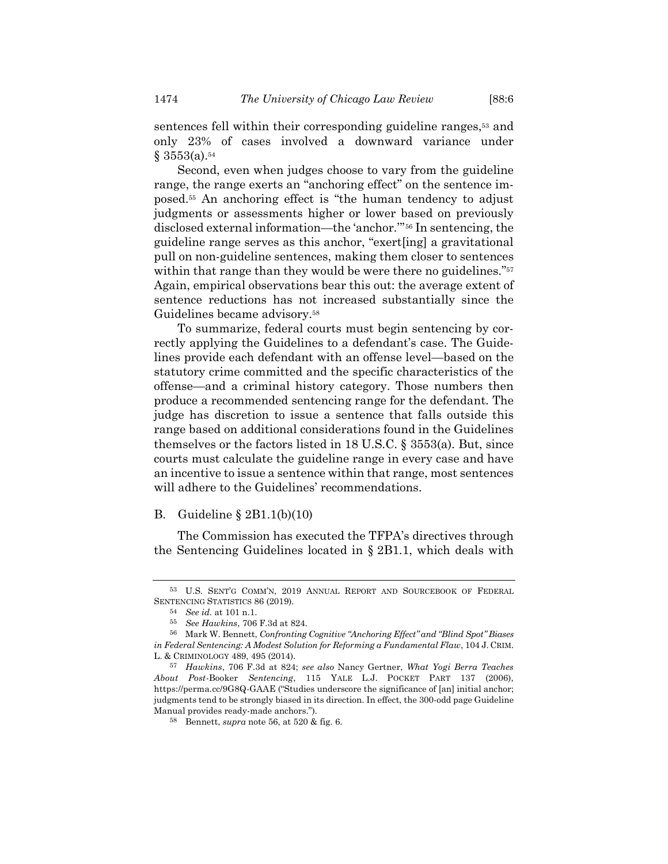sentences fell within their corresponding guideline ranges,<sup>53</sup> and only 23% of cases involved a downward variance under  $§$  3553(a).<sup>54</sup>

<span id="page-9-1"></span>Second, even when judges choose to vary from the guideline range, the range exerts an "anchoring effect" on the sentence imposed.<sup>55</sup> An anchoring effect is "the human tendency to adjust judgments or assessments higher or lower based on previously disclosed external information—the 'anchor.'" <sup>56</sup> In sentencing, the guideline range serves as this anchor, "exert[ing] a gravitational pull on non-guideline sentences, making them closer to sentences within that range than they would be were there no guidelines."<sup>57</sup> Again, empirical observations bear this out: the average extent of sentence reductions has not increased substantially since the Guidelines became advisory.<sup>58</sup>

<span id="page-9-0"></span>To summarize, federal courts must begin sentencing by correctly applying the Guidelines to a defendant's case. The Guidelines provide each defendant with an offense level—based on the statutory crime committed and the specific characteristics of the offense—and a criminal history category. Those numbers then produce a recommended sentencing range for the defendant. The judge has discretion to issue a sentence that falls outside this range based on additional considerations found in the Guidelines themselves or the factors listed in 18 U.S.C. § 3553(a). But, since courts must calculate the guideline range in every case and have an incentive to issue a sentence within that range, most sentences will adhere to the Guidelines' recommendations.

# B. Guideline § 2B1.1(b)(10)

The Commission has executed the TFPA's directives through the Sentencing Guidelines located in § 2B1.1, which deals with

<sup>53</sup> U.S. SENT'G COMM'N, 2019 ANNUAL REPORT AND SOURCEBOOK OF FEDERAL SENTENCING STATISTICS 86 (2019).

<sup>54</sup> *See id.* at 101 n.1.

<sup>55</sup> *See Hawkins*, 706 F.3d at 824.

<sup>56</sup> Mark W. Bennett, *Confronting Cognitive "Anchoring Effect" and "Blind Spot" Biases in Federal Sentencing: A Modest Solution for Reforming a Fundamental Flaw*, 104 J. CRIM. L. & CRIMINOLOGY 489, 495 (2014).

<sup>57</sup> *Hawkins*, 706 F.3d at 824; *see also* Nancy Gertner, *What Yogi Berra Teaches About Post-*Booker *Sentencing*, 115 YALE L.J. POCKET PART 137 (2006), https://perma.cc/9G8Q-GAAE ("Studies underscore the significance of [an] initial anchor; judgments tend to be strongly biased in its direction. In effect, the 300-odd page Guideline Manual provides ready-made anchors.").

<sup>58</sup> Bennett, *supra* note [56,](#page-9-1) at 520 & fig. 6.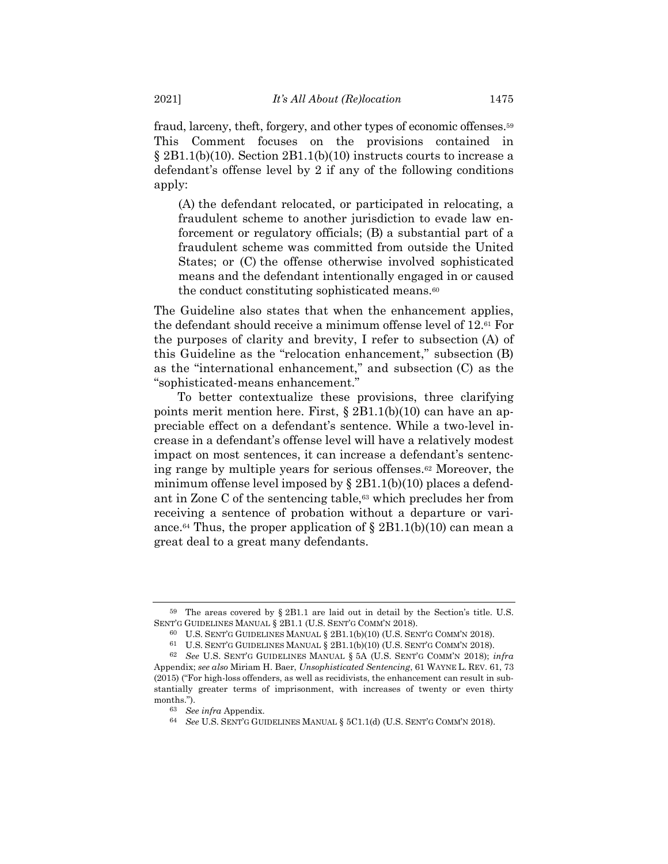fraud, larceny, theft, forgery, and other types of economic offenses.<sup>59</sup> This Comment focuses on the provisions contained in  $\S 2B1.1(b)(10)$ . Section  $2B1.1(b)(10)$  instructs courts to increase a defendant's offense level by 2 if any of the following conditions apply:

(A) the defendant relocated, or participated in relocating, a fraudulent scheme to another jurisdiction to evade law enforcement or regulatory officials; (B) a substantial part of a fraudulent scheme was committed from outside the United States; or (C) the offense otherwise involved sophisticated means and the defendant intentionally engaged in or caused the conduct constituting sophisticated means.<sup>60</sup>

The Guideline also states that when the enhancement applies, the defendant should receive a minimum offense level of 12.<sup>61</sup> For the purposes of clarity and brevity, I refer to subsection (A) of this Guideline as the "relocation enhancement," subsection (B) as the "international enhancement," and subsection (C) as the "sophisticated-means enhancement."

<span id="page-10-0"></span>To better contextualize these provisions, three clarifying points merit mention here. First, § 2B1.1(b)(10) can have an appreciable effect on a defendant's sentence. While a two-level increase in a defendant's offense level will have a relatively modest impact on most sentences, it can increase a defendant's sentencing range by multiple years for serious offenses.<sup>62</sup> Moreover, the minimum offense level imposed by  $\S 2B1.1(b)(10)$  places a defendant in Zone C of the sentencing table,<sup>63</sup> which precludes her from receiving a sentence of probation without a departure or variance.<sup>64</sup> Thus, the proper application of  $\S 2B1.1(b)(10)$  can mean a great deal to a great many defendants.

<sup>59</sup> The areas covered by § 2B1.1 are laid out in detail by the Section's title. U.S. SENT'G GUIDELINES MANUAL § 2B1.1 (U.S. SENT'G COMM'N 2018).

<sup>60</sup> U.S. SENT'G GUIDELINES MANUAL § 2B1.1(b)(10) (U.S. SENT'G COMM'N 2018).

<sup>61</sup> U.S. SENT'G GUIDELINES MANUAL § 2B1.1(b)(10) (U.S. SENT'G COMM'N 2018).

<sup>62</sup> *See* U.S. SENT'G GUIDELINES MANUAL § 5A (U.S. SENT'G COMM'N 2018); *infra* Appendix; *see also* Miriam H. Baer, *Unsophisticated Sentencing*, 61 WAYNE L. REV. 61, 73 (2015) ("For high-loss offenders, as well as recidivists, the enhancement can result in substantially greater terms of imprisonment, with increases of twenty or even thirty months.").

<sup>63</sup> *See infra* Appendix.

<sup>64</sup> *See* U.S. SENT'G GUIDELINES MANUAL § 5C1.1(d) (U.S. SENT'G COMM'N 2018).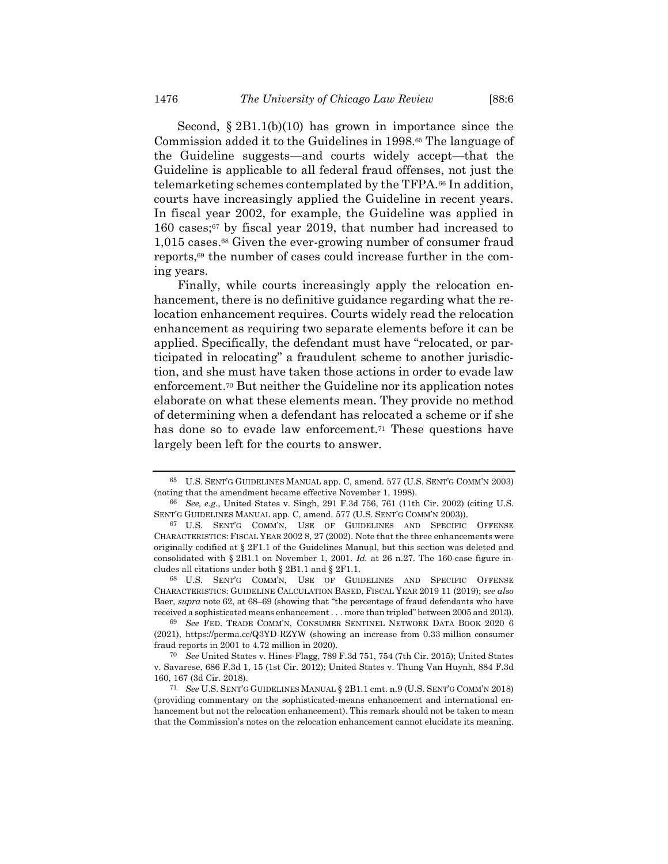Second, § 2B1.1(b)(10) has grown in importance since the Commission added it to the Guidelines in 1998.<sup>65</sup> The language of the Guideline suggests—and courts widely accept—that the Guideline is applicable to all federal fraud offenses, not just the telemarketing schemes contemplated by the TFPA.<sup>66</sup> In addition, courts have increasingly applied the Guideline in recent years. In fiscal year 2002, for example, the Guideline was applied in 160 cases;<sup>67</sup> by fiscal year 2019, that number had increased to 1,015 cases. <sup>68</sup> Given the ever-growing number of consumer fraud reports,<sup>69</sup> the number of cases could increase further in the coming years.

Finally, while courts increasingly apply the relocation enhancement, there is no definitive guidance regarding what the relocation enhancement requires. Courts widely read the relocation enhancement as requiring two separate elements before it can be applied. Specifically, the defendant must have "relocated, or participated in relocating" a fraudulent scheme to another jurisdiction, and she must have taken those actions in order to evade law enforcement.<sup>70</sup> But neither the Guideline nor its application notes elaborate on what these elements mean. They provide no method of determining when a defendant has relocated a scheme or if she has done so to evade law enforcement.<sup>71</sup> These questions have largely been left for the courts to answer.

68 U.S. SENT'G COMM'N, USE OF GUIDELINES AND SPECIFIC OFFENSE CHARACTERISTICS: GUIDELINE CALCULATION BASED, FISCAL YEAR 2019 11 (2019); *see also* Baer, *supra* note [62,](#page-10-0) at 68–69 (showing that "the percentage of fraud defendants who have received a sophisticated means enhancement . . . more than tripled" between 2005 and 2013).

<span id="page-11-0"></span><sup>65</sup> U.S. SENT'G GUIDELINES MANUAL app. C, amend. 577 (U.S. SENT'G COMM'N 2003) (noting that the amendment became effective November 1, 1998).

<sup>66</sup> *See, e.g.*, United States v. Singh, 291 F.3d 756, 761 (11th Cir. 2002) (citing U.S. SENT'G GUIDELINES MANUAL app. C, amend. 577 (U.S. SENT'G COMM'N 2003)).

<sup>67</sup> U.S. SENT'G COMM'N, USE OF GUIDELINES AND SPECIFIC OFFENSE CHARACTERISTICS: FISCAL YEAR 2002 8, 27 (2002). Note that the three enhancements were originally codified at § 2F1.1 of the Guidelines Manual, but this section was deleted and consolidated with § 2B1.1 on November 1, 2001. *Id.* at 26 n.27. The 160-case figure includes all citations under both § 2B1.1 and § 2F1.1.

<sup>69</sup> *See* FED. TRADE COMM'N, CONSUMER SENTINEL NETWORK DATA BOOK 2020 6 (2021), https://perma.cc/Q3YD-RZYW (showing an increase from 0.33 million consumer fraud reports in 2001 to 4.72 million in 2020).

<sup>70</sup> *See* United States v. Hines-Flagg, 789 F.3d 751, 754 (7th Cir. 2015); United States v. Savarese, 686 F.3d 1, 15 (1st Cir. 2012); United States v. Thung Van Huynh, 884 F.3d 160, 167 (3d Cir. 2018).

<sup>71</sup> *See* U.S. SENT'G GUIDELINES MANUAL § 2B1.1 cmt. n.9 (U.S. SENT'G COMM'N 2018) (providing commentary on the sophisticated-means enhancement and international enhancement but not the relocation enhancement). This remark should not be taken to mean that the Commission's notes on the relocation enhancement cannot elucidate its meaning.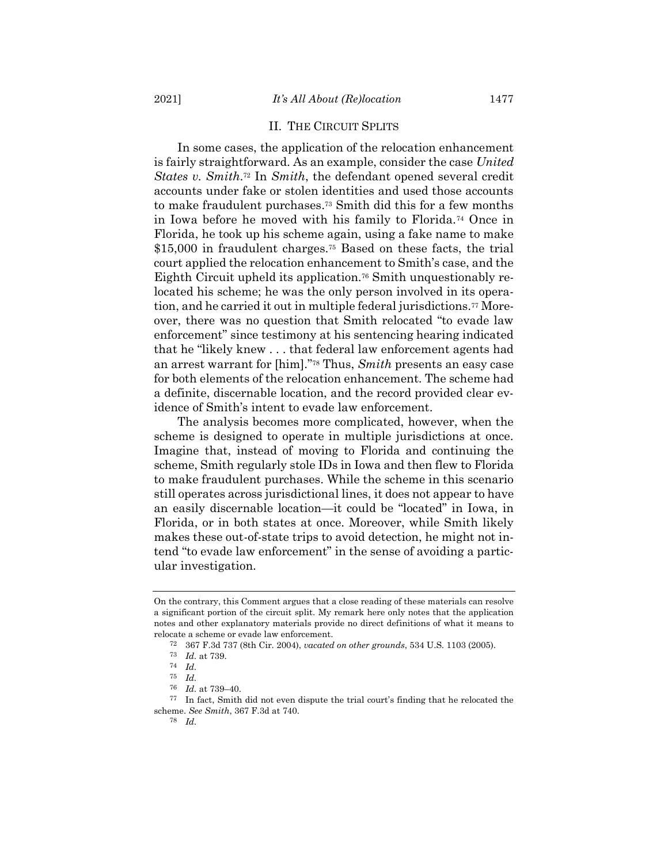# II. THE CIRCUIT SPLITS

In some cases, the application of the relocation enhancement is fairly straightforward. As an example, consider the case *United States v. Smith*. <sup>72</sup> In *Smith*, the defendant opened several credit accounts under fake or stolen identities and used those accounts to make fraudulent purchases. <sup>73</sup> Smith did this for a few months in Iowa before he moved with his family to Florida.<sup>74</sup> Once in Florida, he took up his scheme again, using a fake name to make \$15,000 in fraudulent charges.<sup>75</sup> Based on these facts, the trial court applied the relocation enhancement to Smith's case, and the Eighth Circuit upheld its application.<sup>76</sup> Smith unquestionably relocated his scheme; he was the only person involved in its operation, and he carried it out in multiple federal jurisdictions.<sup>77</sup> Moreover, there was no question that Smith relocated "to evade law enforcement" since testimony at his sentencing hearing indicated that he "likely knew . . . that federal law enforcement agents had an arrest warrant for [him]."<sup>78</sup> Thus, *Smith* presents an easy case for both elements of the relocation enhancement. The scheme had a definite, discernable location, and the record provided clear evidence of Smith's intent to evade law enforcement.

The analysis becomes more complicated, however, when the scheme is designed to operate in multiple jurisdictions at once. Imagine that, instead of moving to Florida and continuing the scheme, Smith regularly stole IDs in Iowa and then flew to Florida to make fraudulent purchases. While the scheme in this scenario still operates across jurisdictional lines, it does not appear to have an easily discernable location—it could be "located" in Iowa, in Florida, or in both states at once. Moreover, while Smith likely makes these out-of-state trips to avoid detection, he might not intend "to evade law enforcement" in the sense of avoiding a particular investigation.

77 In fact, Smith did not even dispute the trial court's finding that he relocated the scheme. *See Smith*, 367 F.3d at 740.

78 *Id.*

On the contrary, this Comment argues that a close reading of these materials can resolve a significant portion of the circuit split. My remark here only notes that the application notes and other explanatory materials provide no direct definitions of what it means to relocate a scheme or evade law enforcement.

<sup>72</sup> 367 F.3d 737 (8th Cir. 2004), *vacated on other grounds*, 534 U.S. 1103 (2005).

<sup>73</sup> *Id.* at 739.

<sup>74</sup> *Id.*

<sup>75</sup> *Id.*

<sup>76</sup> *Id.* at 739–40.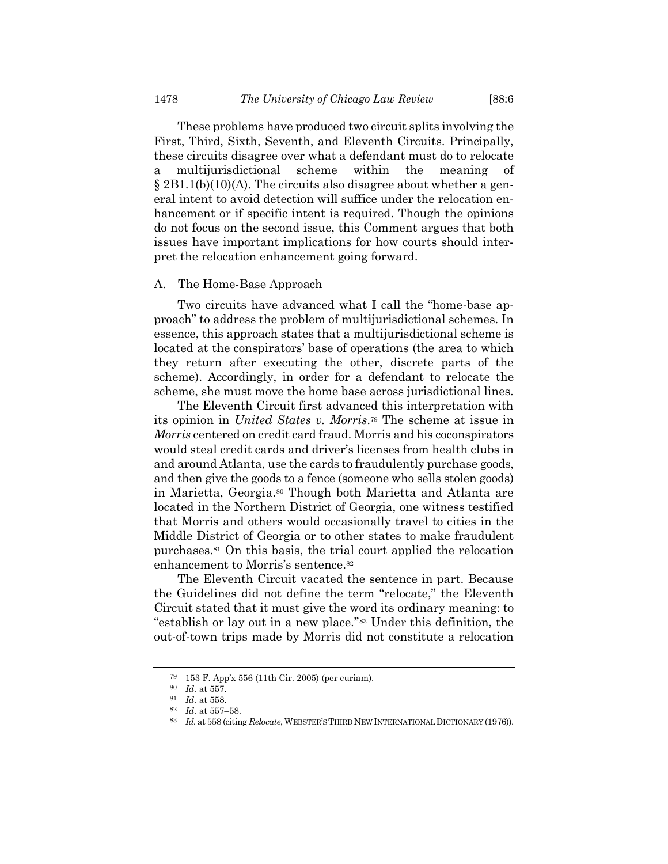These problems have produced two circuit splits involving the First, Third, Sixth, Seventh, and Eleventh Circuits. Principally, these circuits disagree over what a defendant must do to relocate a multijurisdictional scheme within the meaning of § 2B1.1(b)(10)(A). The circuits also disagree about whether a general intent to avoid detection will suffice under the relocation enhancement or if specific intent is required. Though the opinions do not focus on the second issue, this Comment argues that both issues have important implications for how courts should interpret the relocation enhancement going forward.

# A. The Home-Base Approach

Two circuits have advanced what I call the "home-base approach" to address the problem of multijurisdictional schemes. In essence, this approach states that a multijurisdictional scheme is located at the conspirators' base of operations (the area to which they return after executing the other, discrete parts of the scheme). Accordingly, in order for a defendant to relocate the scheme, she must move the home base across jurisdictional lines.

The Eleventh Circuit first advanced this interpretation with its opinion in *United States v. Morris*. <sup>79</sup> The scheme at issue in *Morris* centered on credit card fraud. Morris and his coconspirators would steal credit cards and driver's licenses from health clubs in and around Atlanta, use the cards to fraudulently purchase goods, and then give the goods to a fence (someone who sells stolen goods) in Marietta, Georgia.<sup>80</sup> Though both Marietta and Atlanta are located in the Northern District of Georgia, one witness testified that Morris and others would occasionally travel to cities in the Middle District of Georgia or to other states to make fraudulent purchases.<sup>81</sup> On this basis, the trial court applied the relocation enhancement to Morris's sentence.<sup>82</sup>

The Eleventh Circuit vacated the sentence in part. Because the Guidelines did not define the term "relocate," the Eleventh Circuit stated that it must give the word its ordinary meaning: to "establish or lay out in a new place." <sup>83</sup> Under this definition, the out-of-town trips made by Morris did not constitute a relocation

<sup>79</sup> 153 F. App'x 556 (11th Cir. 2005) (per curiam).

<sup>80</sup> *Id.* at 557.

<sup>81</sup> *Id.* at 558.

<sup>82</sup> *Id.* at 557–58.

<sup>83</sup> *Id.* at 558 (citing *Relocate*, WEBSTER'S THIRD NEW INTERNATIONAL DICTIONARY (1976)).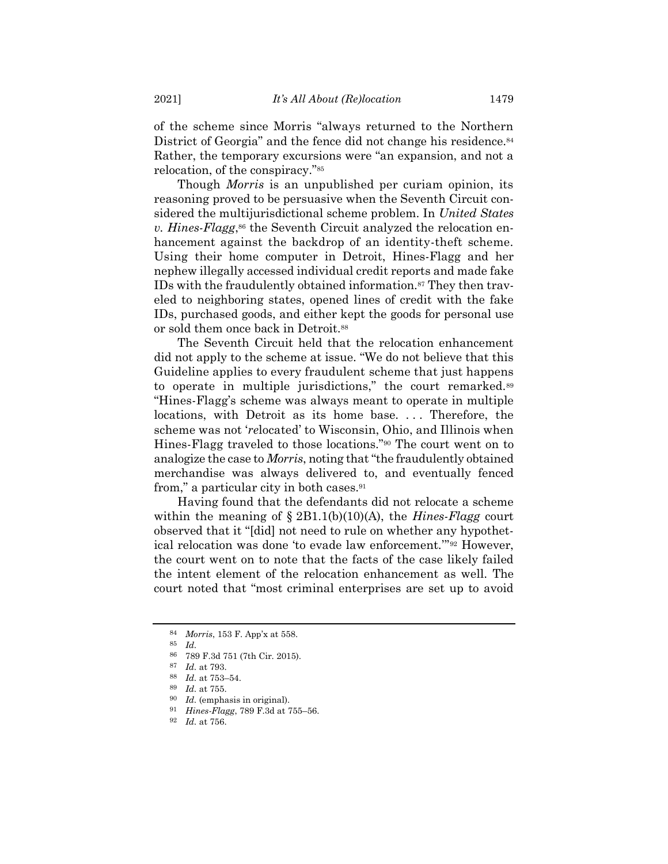of the scheme since Morris "always returned to the Northern District of Georgia" and the fence did not change his residence.<sup>84</sup> Rather, the temporary excursions were "an expansion, and not a relocation, of the conspiracy."<sup>85</sup>

Though *Morris* is an unpublished per curiam opinion, its reasoning proved to be persuasive when the Seventh Circuit considered the multijurisdictional scheme problem. In *United States v. Hines-Flagg*, <sup>86</sup> the Seventh Circuit analyzed the relocation enhancement against the backdrop of an identity-theft scheme. Using their home computer in Detroit, Hines-Flagg and her nephew illegally accessed individual credit reports and made fake IDs with the fraudulently obtained information.<sup>87</sup> They then traveled to neighboring states, opened lines of credit with the fake IDs, purchased goods, and either kept the goods for personal use or sold them once back in Detroit.<sup>88</sup>

The Seventh Circuit held that the relocation enhancement did not apply to the scheme at issue. "We do not believe that this Guideline applies to every fraudulent scheme that just happens to operate in multiple jurisdictions," the court remarked.<sup>89</sup> "Hines-Flagg's scheme was always meant to operate in multiple locations, with Detroit as its home base. ... Therefore, the scheme was not '*re*located' to Wisconsin, Ohio, and Illinois when Hines-Flagg traveled to those locations."<sup>90</sup> The court went on to analogize the case to *Morris*, noting that "the fraudulently obtained merchandise was always delivered to, and eventually fenced from," a particular city in both cases.<sup>91</sup>

Having found that the defendants did not relocate a scheme within the meaning of § 2B1.1(b)(10)(A), the *Hines-Flagg* court observed that it "[did] not need to rule on whether any hypothetical relocation was done 'to evade law enforcement.'" <sup>92</sup> However, the court went on to note that the facts of the case likely failed the intent element of the relocation enhancement as well. The court noted that "most criminal enterprises are set up to avoid

<sup>84</sup> *Morris*, 153 F. App'x at 558.

<sup>85</sup> *Id.*

<sup>86</sup> 789 F.3d 751 (7th Cir. 2015).

<sup>87</sup> *Id.* at 793.

<sup>88</sup> *Id.* at 753–54.

<sup>89</sup> *Id.* at 755.

<sup>90</sup> *Id.* (emphasis in original).

<sup>91</sup> *Hines-Flagg*, 789 F.3d at 755–56.

<sup>92</sup> *Id.* at 756.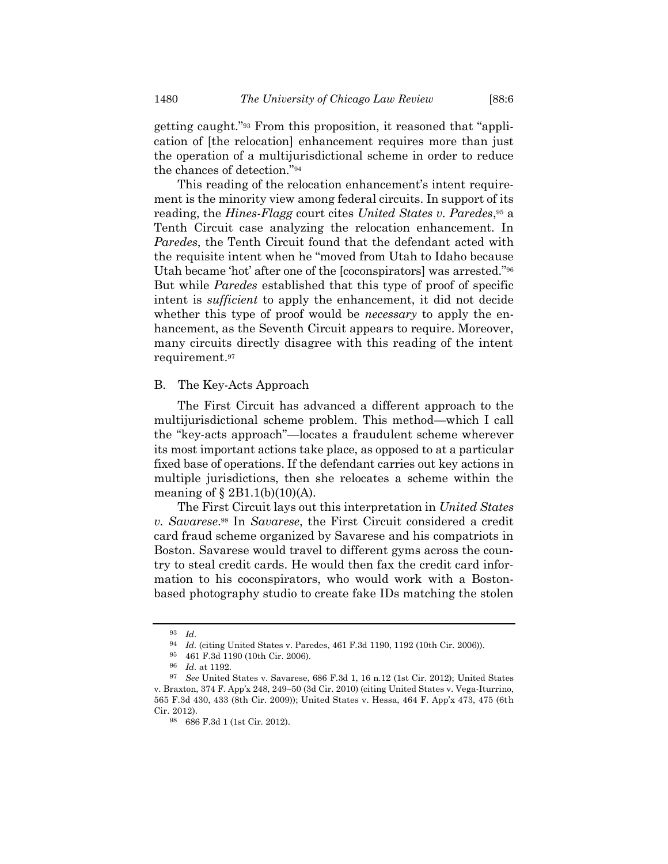<span id="page-15-0"></span>getting caught."<sup>93</sup> From this proposition, it reasoned that "application of [the relocation] enhancement requires more than just the operation of a multijurisdictional scheme in order to reduce the chances of detection."<sup>94</sup>

<span id="page-15-1"></span>This reading of the relocation enhancement's intent requirement is the minority view among federal circuits. In support of its reading, the *Hines-Flagg* court cites *United States v. Paredes*, <sup>95</sup> a Tenth Circuit case analyzing the relocation enhancement. In *Paredes*, the Tenth Circuit found that the defendant acted with the requisite intent when he "moved from Utah to Idaho because Utah became 'hot' after one of the [coconspirators] was arrested."<sup>96</sup> But while *Paredes* established that this type of proof of specific intent is *sufficient* to apply the enhancement, it did not decide whether this type of proof would be *necessary* to apply the enhancement, as the Seventh Circuit appears to require. Moreover, many circuits directly disagree with this reading of the intent requirement. 97

# B. The Key-Acts Approach

The First Circuit has advanced a different approach to the multijurisdictional scheme problem. This method—which I call the "key-acts approach"—locates a fraudulent scheme wherever its most important actions take place, as opposed to at a particular fixed base of operations. If the defendant carries out key actions in multiple jurisdictions, then she relocates a scheme within the meaning of  $\S 2B1.1(b)(10)(A)$ .

The First Circuit lays out this interpretation in *United States v. Savarese*. <sup>98</sup> In *Savarese*, the First Circuit considered a credit card fraud scheme organized by Savarese and his compatriots in Boston. Savarese would travel to different gyms across the country to steal credit cards. He would then fax the credit card information to his coconspirators, who would work with a Bostonbased photography studio to create fake IDs matching the stolen

<sup>93</sup> *Id.*

<sup>94</sup> *Id.* (citing United States v. Paredes, 461 F.3d 1190, 1192 (10th Cir. 2006)).

<sup>95</sup> 461 F.3d 1190 (10th Cir. 2006).

<sup>96</sup> *Id.* at 1192.

<sup>97</sup> *See* United States v. Savarese, 686 F.3d 1, 16 n.12 (1st Cir. 2012); United States v. Braxton, 374 F. App'x 248, 249–50 (3d Cir. 2010) (citing United States v. Vega-Iturrino, 565 F.3d 430, 433 (8th Cir. 2009)); United States v. Hessa, 464 F. App'x 473, 475 (6th Cir. 2012).

<sup>98</sup> 686 F.3d 1 (1st Cir. 2012).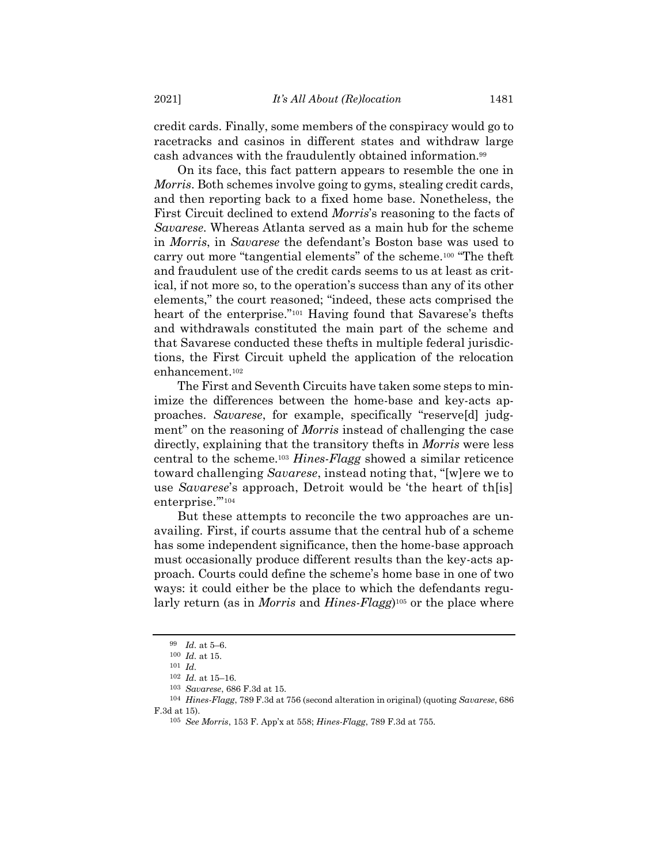credit cards. Finally, some members of the conspiracy would go to racetracks and casinos in different states and withdraw large cash advances with the fraudulently obtained information.<sup>99</sup>

On its face, this fact pattern appears to resemble the one in *Morris*. Both schemes involve going to gyms, stealing credit cards, and then reporting back to a fixed home base. Nonetheless, the First Circuit declined to extend *Morris*'s reasoning to the facts of *Savarese*. Whereas Atlanta served as a main hub for the scheme in *Morris*, in *Savarese* the defendant's Boston base was used to carry out more "tangential elements" of the scheme.<sup>100</sup> "The theft and fraudulent use of the credit cards seems to us at least as critical, if not more so, to the operation's success than any of its other elements," the court reasoned; "indeed, these acts comprised the heart of the enterprise."<sup>101</sup> Having found that Savarese's thefts and withdrawals constituted the main part of the scheme and that Savarese conducted these thefts in multiple federal jurisdictions, the First Circuit upheld the application of the relocation enhancement.<sup>102</sup>

The First and Seventh Circuits have taken some steps to minimize the differences between the home-base and key-acts approaches. *Savarese*, for example, specifically "reserve[d] judgment" on the reasoning of *Morris* instead of challenging the case directly, explaining that the transitory thefts in *Morris* were less central to the scheme.<sup>103</sup> *Hines-Flagg* showed a similar reticence toward challenging *Savarese*, instead noting that, "[w]ere we to use *Savarese*'s approach, Detroit would be 'the heart of th[is] enterprise.""104

But these attempts to reconcile the two approaches are unavailing. First, if courts assume that the central hub of a scheme has some independent significance, then the home-base approach must occasionally produce different results than the key-acts approach. Courts could define the scheme's home base in one of two ways: it could either be the place to which the defendants regularly return (as in *Morris* and *Hines-Flagg*) <sup>105</sup> or the place where

<sup>99</sup> *Id.* at 5–6.

<sup>100</sup> *Id.* at 15.

<sup>101</sup> *Id.*

<sup>102</sup> *Id.* at 15–16.

<sup>103</sup> *Savarese*, 686 F.3d at 15.

<sup>104</sup> *Hines-Flagg*, 789 F.3d at 756 (second alteration in original) (quoting *Savarese*, 686 F.3d at 15).

<sup>105</sup> *See Morris*, 153 F. App'x at 558; *Hines-Flagg*, 789 F.3d at 755.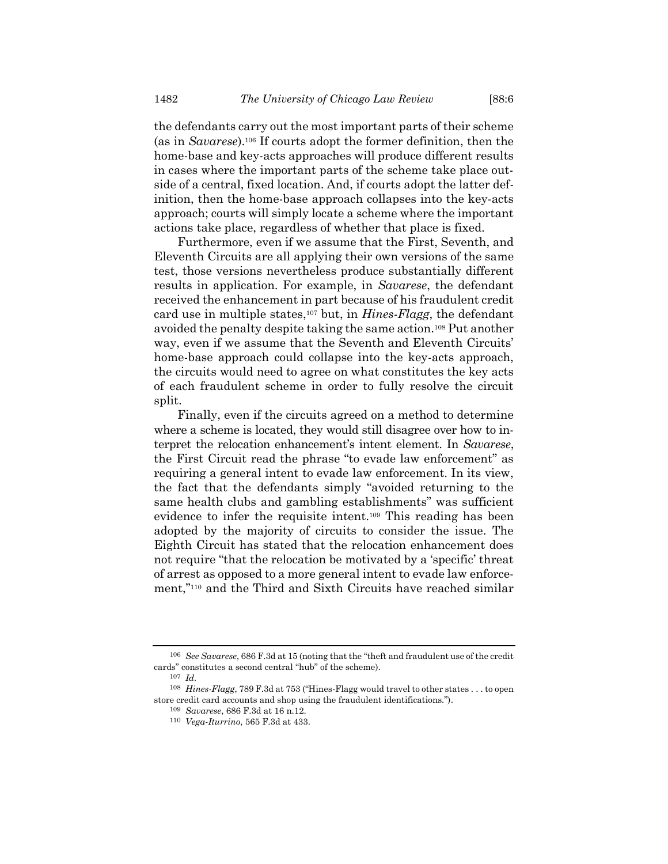the defendants carry out the most important parts of their scheme (as in *Savarese*).<sup>106</sup> If courts adopt the former definition, then the home-base and key-acts approaches will produce different results in cases where the important parts of the scheme take place outside of a central, fixed location. And, if courts adopt the latter definition, then the home-base approach collapses into the key-acts approach; courts will simply locate a scheme where the important actions take place, regardless of whether that place is fixed.

Furthermore, even if we assume that the First, Seventh, and Eleventh Circuits are all applying their own versions of the same test, those versions nevertheless produce substantially different results in application. For example, in *Savarese*, the defendant received the enhancement in part because of his fraudulent credit card use in multiple states,<sup>107</sup> but, in *Hines-Flagg*, the defendant avoided the penalty despite taking the same action.<sup>108</sup> Put another way, even if we assume that the Seventh and Eleventh Circuits' home-base approach could collapse into the key-acts approach, the circuits would need to agree on what constitutes the key acts of each fraudulent scheme in order to fully resolve the circuit split.

<span id="page-17-0"></span>Finally, even if the circuits agreed on a method to determine where a scheme is located, they would still disagree over how to interpret the relocation enhancement's intent element. In *Savarese*, the First Circuit read the phrase "to evade law enforcement" as requiring a general intent to evade law enforcement. In its view, the fact that the defendants simply "avoided returning to the same health clubs and gambling establishments" was sufficient evidence to infer the requisite intent.<sup>109</sup> This reading has been adopted by the majority of circuits to consider the issue. The Eighth Circuit has stated that the relocation enhancement does not require "that the relocation be motivated by a 'specific' threat of arrest as opposed to a more general intent to evade law enforcement,"<sup>110</sup> and the Third and Sixth Circuits have reached similar

<sup>106</sup> *See Savarese*, 686 F.3d at 15 (noting that the "theft and fraudulent use of the credit cards" constitutes a second central "hub" of the scheme).

<sup>107</sup> *Id.*

<sup>108</sup> *Hines-Flagg*, 789 F.3d at 753 ("Hines-Flagg would travel to other states . . . to open store credit card accounts and shop using the fraudulent identifications.").

<sup>109</sup> *Savarese*, 686 F.3d at 16 n.12.

<sup>110</sup> *Vega-Iturrino*, 565 F.3d at 433.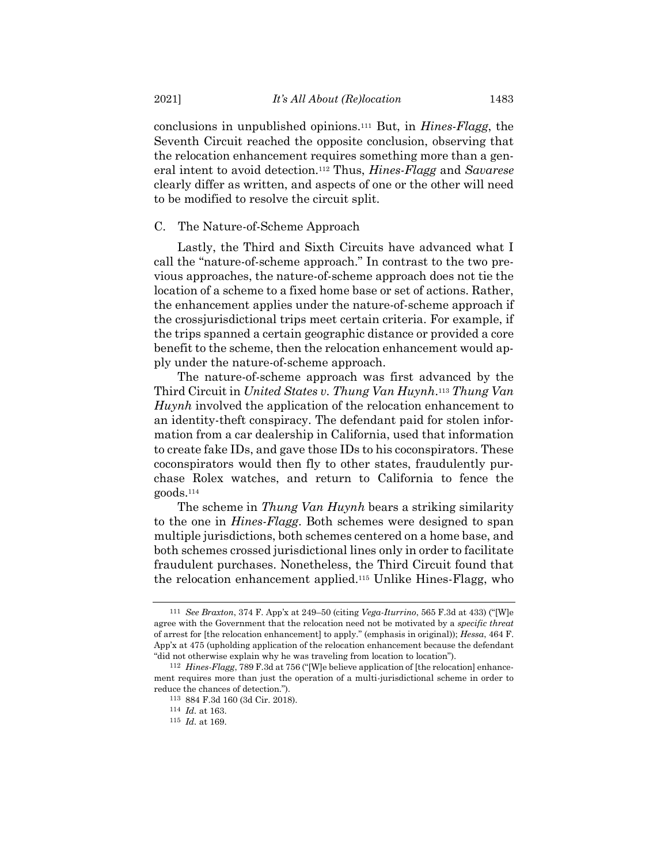conclusions in unpublished opinions.<sup>111</sup> But, in *Hines-Flagg*, the Seventh Circuit reached the opposite conclusion, observing that the relocation enhancement requires something more than a general intent to avoid detection.<sup>112</sup> Thus, *Hines-Flagg* and *Savarese* clearly differ as written, and aspects of one or the other will need to be modified to resolve the circuit split.

# C. The Nature-of-Scheme Approach

Lastly, the Third and Sixth Circuits have advanced what I call the "nature-of-scheme approach." In contrast to the two previous approaches, the nature-of-scheme approach does not tie the location of a scheme to a fixed home base or set of actions. Rather, the enhancement applies under the nature-of-scheme approach if the crossjurisdictional trips meet certain criteria. For example, if the trips spanned a certain geographic distance or provided a core benefit to the scheme, then the relocation enhancement would apply under the nature-of-scheme approach.

The nature-of-scheme approach was first advanced by the Third Circuit in *United States v. Thung Van Huynh*. <sup>113</sup> *Thung Van Huynh* involved the application of the relocation enhancement to an identity-theft conspiracy. The defendant paid for stolen information from a car dealership in California, used that information to create fake IDs, and gave those IDs to his coconspirators. These coconspirators would then fly to other states, fraudulently purchase Rolex watches, and return to California to fence the goods.<sup>114</sup>

The scheme in *Thung Van Huynh* bears a striking similarity to the one in *Hines-Flagg*. Both schemes were designed to span multiple jurisdictions, both schemes centered on a home base, and both schemes crossed jurisdictional lines only in order to facilitate fraudulent purchases. Nonetheless, the Third Circuit found that the relocation enhancement applied.<sup>115</sup> Unlike Hines-Flagg, who

<span id="page-18-0"></span>

<sup>111</sup> *See Braxton*, 374 F. App'x at 249–50 (citing *Vega-Iturrino*, 565 F.3d at 433) ("[W]e agree with the Government that the relocation need not be motivated by a *specific threat* of arrest for [the relocation enhancement] to apply." (emphasis in original)); *Hessa*, 464 F. App'x at 475 (upholding application of the relocation enhancement because the defendant "did not otherwise explain why he was traveling from location to location").

<sup>112</sup> *Hines-Flagg*, 789 F.3d at 756 ("[W]e believe application of [the relocation] enhancement requires more than just the operation of a multi-jurisdictional scheme in order to reduce the chances of detection.").

<sup>113</sup> 884 F.3d 160 (3d Cir. 2018).

<sup>114</sup> *Id.* at 163.

<sup>115</sup> *Id.* at 169.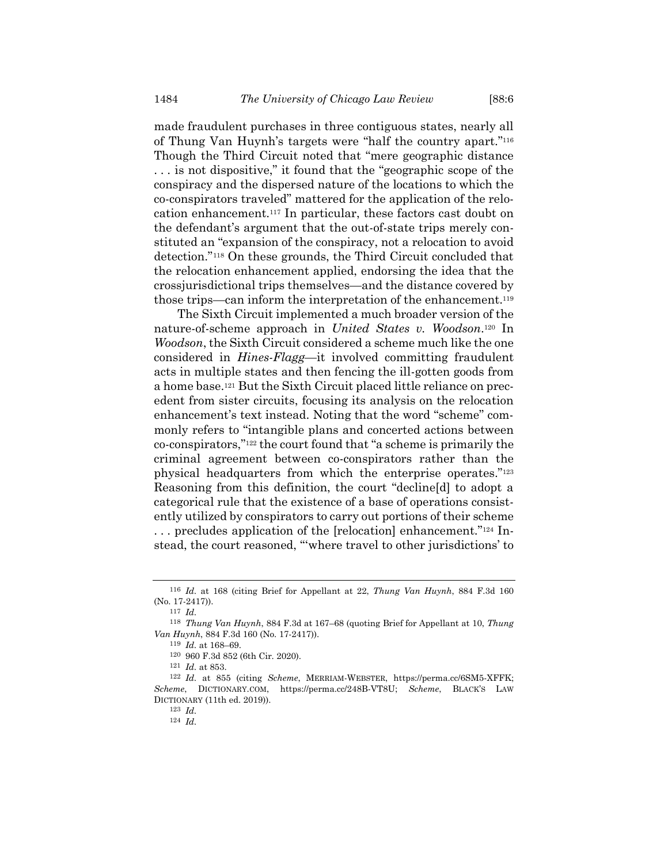made fraudulent purchases in three contiguous states, nearly all of Thung Van Huynh's targets were "half the country apart."<sup>116</sup> Though the Third Circuit noted that "mere geographic distance . . . is not dispositive," it found that the "geographic scope of the conspiracy and the dispersed nature of the locations to which the co-conspirators traveled" mattered for the application of the relocation enhancement.<sup>117</sup> In particular, these factors cast doubt on the defendant's argument that the out-of-state trips merely constituted an "expansion of the conspiracy, not a relocation to avoid detection." <sup>118</sup> On these grounds, the Third Circuit concluded that the relocation enhancement applied, endorsing the idea that the crossjurisdictional trips themselves—and the distance covered by those trips—can inform the interpretation of the enhancement.<sup>119</sup>

The Sixth Circuit implemented a much broader version of the nature-of-scheme approach in *United States v. Woodson*. <sup>120</sup> In *Woodson*, the Sixth Circuit considered a scheme much like the one considered in *Hines-Flagg*—it involved committing fraudulent acts in multiple states and then fencing the ill-gotten goods from a home base.<sup>121</sup> But the Sixth Circuit placed little reliance on precedent from sister circuits, focusing its analysis on the relocation enhancement's text instead. Noting that the word "scheme" commonly refers to "intangible plans and concerted actions between co-conspirators,"<sup>122</sup> the court found that "a scheme is primarily the criminal agreement between co-conspirators rather than the physical headquarters from which the enterprise operates."<sup>123</sup> Reasoning from this definition, the court "decline[d] to adopt a categorical rule that the existence of a base of operations consistently utilized by conspirators to carry out portions of their scheme . . . precludes application of the [relocation] enhancement."<sup>124</sup> Instead, the court reasoned, "'where travel to other jurisdictions' to

<sup>116</sup> *Id.* at 168 (citing Brief for Appellant at 22, *Thung Van Huynh*, 884 F.3d 160 (No. 17-2417)).

<sup>117</sup> *Id.*

<sup>118</sup> *Thung Van Huynh*, 884 F.3d at 167–68 (quoting Brief for Appellant at 10, *Thung Van Huynh*, 884 F.3d 160 (No. 17-2417)).

<sup>119</sup> *Id.* at 168–69.

<sup>120</sup> 960 F.3d 852 (6th Cir. 2020).

<sup>121</sup> *Id.* at 853.

<sup>122</sup> *Id.* at 855 (citing *Scheme*, MERRIAM-WEBSTER, https://perma.cc/6SM5-XFFK; *Scheme*, DICTIONARY.COM, https://perma.cc/248B-VT8U; *Scheme*, BLACK'S LAW DICTIONARY (11th ed. 2019)).

<sup>123</sup> *Id.*

<sup>124</sup> *Id.*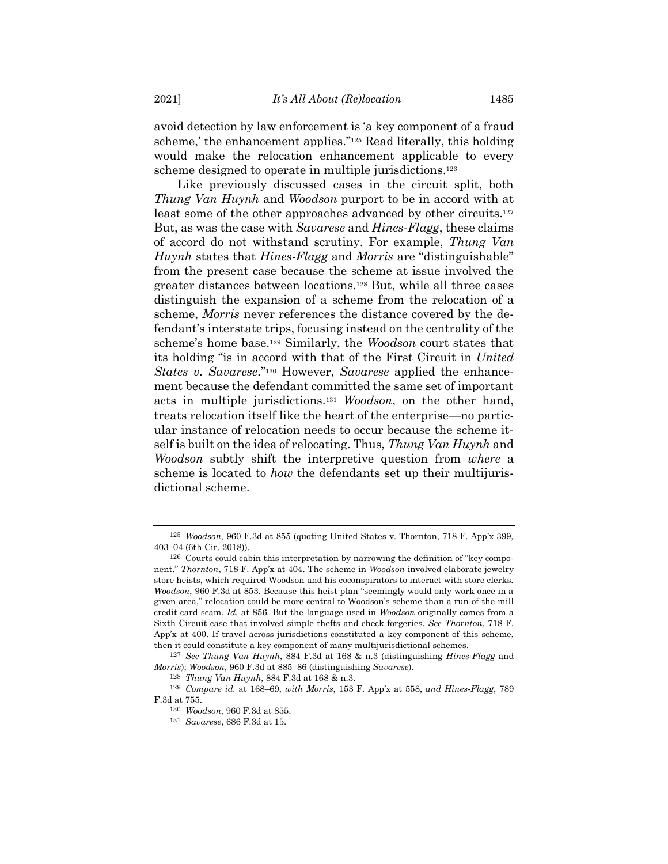avoid detection by law enforcement is 'a key component of a fraud scheme,' the enhancement applies."<sup>125</sup> Read literally, this holding would make the relocation enhancement applicable to every scheme designed to operate in multiple jurisdictions.<sup>126</sup>

Like previously discussed cases in the circuit split, both *Thung Van Huynh* and *Woodson* purport to be in accord with at least some of the other approaches advanced by other circuits.<sup>127</sup> But, as was the case with *Savarese* and *Hines-Flagg*, these claims of accord do not withstand scrutiny. For example, *Thung Van Huynh* states that *Hines-Flagg* and *Morris* are "distinguishable" from the present case because the scheme at issue involved the greater distances between locations.<sup>128</sup> But, while all three cases distinguish the expansion of a scheme from the relocation of a scheme, *Morris* never references the distance covered by the defendant's interstate trips, focusing instead on the centrality of the scheme's home base.<sup>129</sup> Similarly, the *Woodson* court states that its holding "is in accord with that of the First Circuit in *United States v. Savarese*."<sup>130</sup> However, *Savarese* applied the enhancement because the defendant committed the same set of important acts in multiple jurisdictions.<sup>131</sup> *Woodson*, on the other hand, treats relocation itself like the heart of the enterprise—no particular instance of relocation needs to occur because the scheme itself is built on the idea of relocating. Thus, *Thung Van Huynh* and *Woodson* subtly shift the interpretive question from *where* a scheme is located to *how* the defendants set up their multijurisdictional scheme.

<sup>125</sup> *Woodson*, 960 F.3d at 855 (quoting United States v. Thornton, 718 F. App'x 399, 403–04 (6th Cir. 2018)).

<sup>126</sup> Courts could cabin this interpretation by narrowing the definition of "key component." *Thornton*, 718 F. App'x at 404. The scheme in *Woodson* involved elaborate jewelry store heists, which required Woodson and his coconspirators to interact with store clerks. *Woodson*, 960 F.3d at 853. Because this heist plan "seemingly would only work once in a given area," relocation could be more central to Woodson's scheme than a run-of-the-mill credit card scam. *Id.* at 856. But the language used in *Woodson* originally comes from a Sixth Circuit case that involved simple thefts and check forgeries. *See Thornton*, 718 F. App'x at 400. If travel across jurisdictions constituted a key component of this scheme, then it could constitute a key component of many multijurisdictional schemes.

<sup>127</sup> *See Thung Van Huynh*, 884 F.3d at 168 & n.3 (distinguishing *Hines-Flagg* and *Morris*); *Woodson*, 960 F.3d at 885–86 (distinguishing *Savarese*).

<sup>128</sup> *Thung Van Huynh*, 884 F.3d at 168 & n.3.

<sup>129</sup> *Compare id.* at 168–69, *with Morris*, 153 F. App'x at 558, *and Hines-Flagg*, 789 F.3d at 755.

<sup>130</sup> *Woodson*, 960 F.3d at 855.

<sup>131</sup> *Savarese*, 686 F.3d at 15.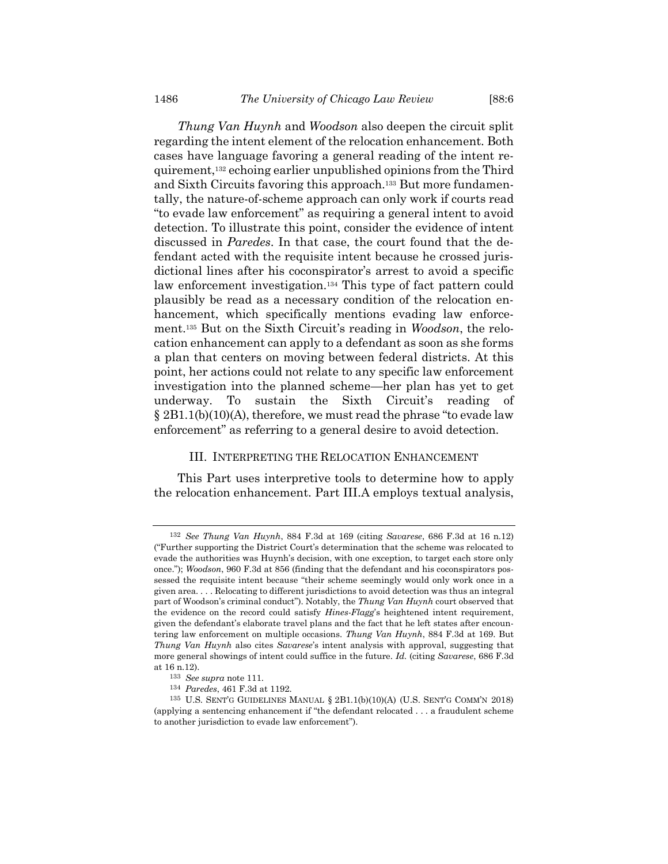<span id="page-21-0"></span>*Thung Van Huynh* and *Woodson* also deepen the circuit split regarding the intent element of the relocation enhancement. Both cases have language favoring a general reading of the intent requirement,<sup>132</sup> echoing earlier unpublished opinions from the Third and Sixth Circuits favoring this approach.<sup>133</sup> But more fundamentally, the nature-of-scheme approach can only work if courts read "to evade law enforcement" as requiring a general intent to avoid detection. To illustrate this point, consider the evidence of intent discussed in *Paredes*. In that case, the court found that the defendant acted with the requisite intent because he crossed jurisdictional lines after his coconspirator's arrest to avoid a specific law enforcement investigation.<sup>134</sup> This type of fact pattern could plausibly be read as a necessary condition of the relocation enhancement, which specifically mentions evading law enforcement.<sup>135</sup> But on the Sixth Circuit's reading in *Woodson*, the relocation enhancement can apply to a defendant as soon as she forms a plan that centers on moving between federal districts. At this point, her actions could not relate to any specific law enforcement investigation into the planned scheme—her plan has yet to get underway. To sustain the Sixth Circuit's reading of  $\S 2B1.1(b)(10)(A)$ , therefore, we must read the phrase "to evade law enforcement" as referring to a general desire to avoid detection.

# III. INTERPRETING THE RELOCATION ENHANCEMENT

This Part uses interpretive tools to determine how to apply the relocation enhancement. Part III.A employs textual analysis,

<sup>132</sup> *See Thung Van Huynh*, 884 F.3d at 169 (citing *Savarese*, 686 F.3d at 16 n.12) ("Further supporting the District Court's determination that the scheme was relocated to evade the authorities was Huynh's decision, with one exception, to target each store only once."); *Woodson*, 960 F.3d at 856 (finding that the defendant and his coconspirators possessed the requisite intent because "their scheme seemingly would only work once in a given area. . . . Relocating to different jurisdictions to avoid detection was thus an integral part of Woodson's criminal conduct"). Notably, the *Thung Van Huynh* court observed that the evidence on the record could satisfy *Hines-Flagg*'s heightened intent requirement, given the defendant's elaborate travel plans and the fact that he left states after encountering law enforcement on multiple occasions. *Thung Van Huynh*, 884 F.3d at 169. But *Thung Van Huynh* also cites *Savarese*'s intent analysis with approval, suggesting that more general showings of intent could suffice in the future. *Id.* (citing *Savarese*, 686 F.3d at 16 n.12).

<sup>133</sup> *See supra* note [111.](#page-18-0)

<sup>134</sup> *Paredes*, 461 F.3d at 1192.

<sup>135</sup> U.S. SENT'G GUIDELINES MANUAL § 2B1.1(b)(10)(A) (U.S. SENT'G COMM'N 2018) (applying a sentencing enhancement if "the defendant relocated . . . a fraudulent scheme to another jurisdiction to evade law enforcement").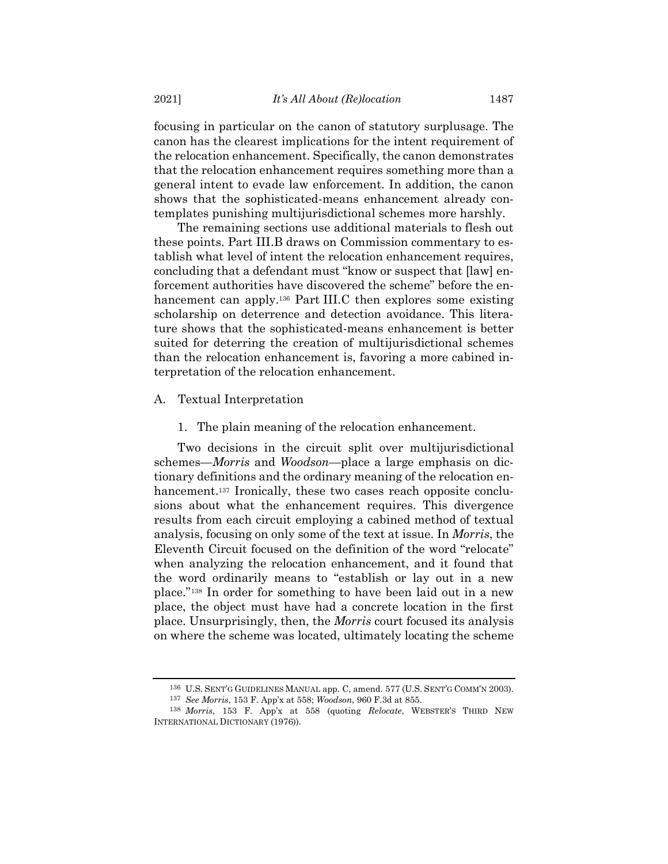focusing in particular on the canon of statutory surplusage. The canon has the clearest implications for the intent requirement of the relocation enhancement. Specifically, the canon demonstrates that the relocation enhancement requires something more than a general intent to evade law enforcement. In addition, the canon shows that the sophisticated-means enhancement already contemplates punishing multijurisdictional schemes more harshly.

The remaining sections use additional materials to flesh out these points. Part III.B draws on Commission commentary to establish what level of intent the relocation enhancement requires, concluding that a defendant must "know or suspect that [law] enforcement authorities have discovered the scheme" before the enhancement can apply.<sup>136</sup> Part III.C then explores some existing scholarship on deterrence and detection avoidance. This literature shows that the sophisticated-means enhancement is better suited for deterring the creation of multijurisdictional schemes than the relocation enhancement is, favoring a more cabined interpretation of the relocation enhancement.

# A. Textual Interpretation

1. The plain meaning of the relocation enhancement.

Two decisions in the circuit split over multijurisdictional schemes—*Morris* and *Woodson*—place a large emphasis on dictionary definitions and the ordinary meaning of the relocation enhancement.<sup>137</sup> Ironically, these two cases reach opposite conclusions about what the enhancement requires. This divergence results from each circuit employing a cabined method of textual analysis, focusing on only some of the text at issue. In *Morris*, the Eleventh Circuit focused on the definition of the word "relocate" when analyzing the relocation enhancement, and it found that the word ordinarily means to "establish or lay out in a new place." <sup>138</sup> In order for something to have been laid out in a new place, the object must have had a concrete location in the first place. Unsurprisingly, then, the *Morris* court focused its analysis on where the scheme was located, ultimately locating the scheme

<sup>136</sup> U.S. SENT'G GUIDELINES MANUAL app. C, amend. 577 (U.S. SENT'G COMM'N 2003).

<sup>137</sup> *See Morris*, 153 F. App'x at 558; *Woodson*, 960 F.3d at 855.

<sup>138</sup> *Morris*, 153 F. App'x at 558 (quoting *Relocate*, WEBSTER'S THIRD NEW INTERNATIONAL DICTIONARY (1976)).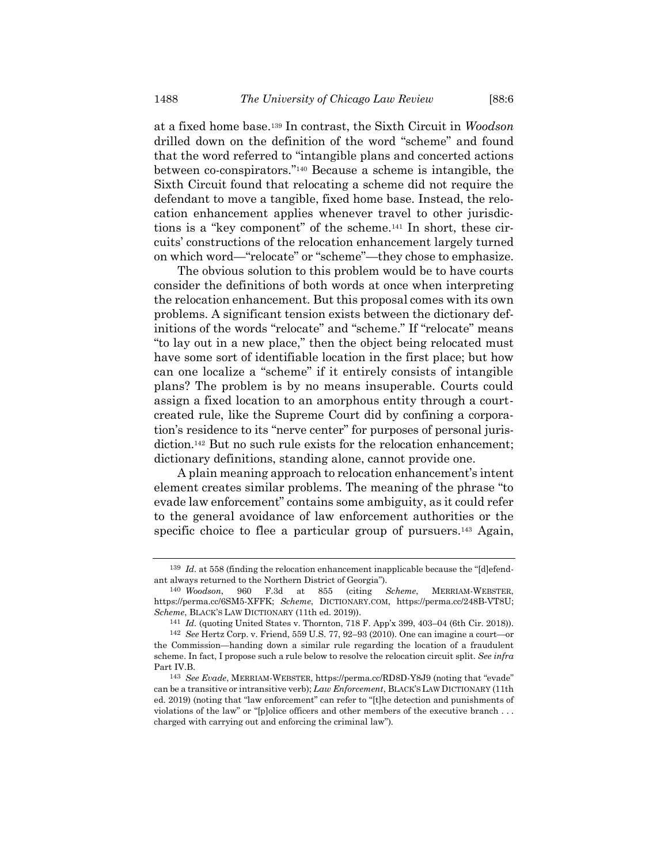at a fixed home base.<sup>139</sup> In contrast, the Sixth Circuit in *Woodson* drilled down on the definition of the word "scheme" and found that the word referred to "intangible plans and concerted actions between co-conspirators."<sup>140</sup> Because a scheme is intangible, the Sixth Circuit found that relocating a scheme did not require the defendant to move a tangible, fixed home base. Instead, the relocation enhancement applies whenever travel to other jurisdictions is a "key component" of the scheme.<sup>141</sup> In short, these circuits' constructions of the relocation enhancement largely turned on which word—"relocate" or "scheme"—they chose to emphasize.

The obvious solution to this problem would be to have courts consider the definitions of both words at once when interpreting the relocation enhancement. But this proposal comes with its own problems. A significant tension exists between the dictionary definitions of the words "relocate" and "scheme." If "relocate" means "to lay out in a new place," then the object being relocated must have some sort of identifiable location in the first place; but how can one localize a "scheme" if it entirely consists of intangible plans? The problem is by no means insuperable. Courts could assign a fixed location to an amorphous entity through a courtcreated rule, like the Supreme Court did by confining a corporation's residence to its "nerve center" for purposes of personal jurisdiction.<sup>142</sup> But no such rule exists for the relocation enhancement; dictionary definitions, standing alone, cannot provide one.

A plain meaning approach to relocation enhancement's intent element creates similar problems. The meaning of the phrase "to evade law enforcement" contains some ambiguity, as it could refer to the general avoidance of law enforcement authorities or the specific choice to flee a particular group of pursuers.<sup>143</sup> Again,

<sup>&</sup>lt;sup>139</sup> *Id.* at 558 (finding the relocation enhancement inapplicable because the "[d]efendant always returned to the Northern District of Georgia").

<sup>140</sup> *Woodson*, 960 F.3d at 855 (citing *Scheme*, MERRIAM-WEBSTER, https://perma.cc/6SM5-XFFK; *Scheme*, DICTIONARY.COM, https://perma.cc/248B-VT8U; *Scheme*, BLACK'S LAW DICTIONARY (11th ed. 2019)).

<span id="page-23-0"></span><sup>141</sup> *Id.* (quoting United States v. Thornton, 718 F. App'x 399, 403–04 (6th Cir. 2018)).

<sup>142</sup> *See* Hertz Corp. v. Friend, 559 U.S. 77, 92–93 (2010). One can imagine a court—or the Commission—handing down a similar rule regarding the location of a fraudulent scheme. In fact, I propose such a rule below to resolve the relocation circuit split. *See infra* Part IV.B.

<sup>143</sup> *See Evade*, MERRIAM-WEBSTER, https://perma.cc/RD8D-Y8J9 (noting that "evade" can be a transitive or intransitive verb); *Law Enforcement*, BLACK'S LAW DICTIONARY (11th ed. 2019) (noting that "law enforcement" can refer to "[t]he detection and punishments of violations of the law" or "[p]olice officers and other members of the executive branch . . . charged with carrying out and enforcing the criminal law").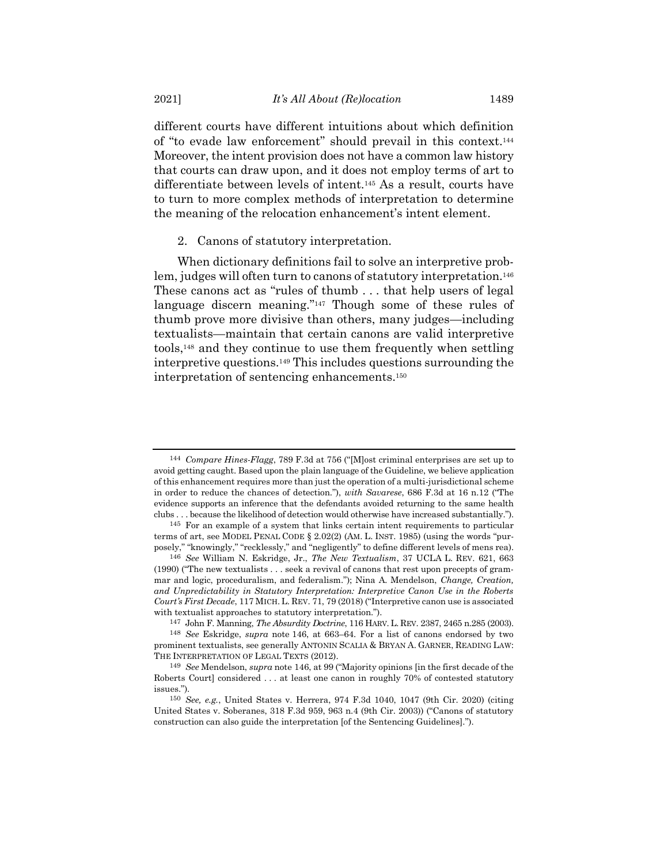different courts have different intuitions about which definition of "to evade law enforcement" should prevail in this context.<sup>144</sup> Moreover, the intent provision does not have a common law history that courts can draw upon, and it does not employ terms of art to differentiate between levels of intent.<sup>145</sup> As a result, courts have to turn to more complex methods of interpretation to determine the meaning of the relocation enhancement's intent element.

<span id="page-24-1"></span><span id="page-24-0"></span>2. Canons of statutory interpretation.

<span id="page-24-2"></span>When dictionary definitions fail to solve an interpretive problem, judges will often turn to canons of statutory interpretation.<sup>146</sup> These canons act as "rules of thumb . . . that help users of legal language discern meaning."<sup>147</sup> Though some of these rules of thumb prove more divisive than others, many judges—including textualists—maintain that certain canons are valid interpretive tools,<sup>148</sup> and they continue to use them frequently when settling interpretive questions.<sup>149</sup> This includes questions surrounding the interpretation of sentencing enhancements.<sup>150</sup>

<sup>144</sup> *Compare Hines-Flagg*, 789 F.3d at 756 ("[M]ost criminal enterprises are set up to avoid getting caught. Based upon the plain language of the Guideline, we believe application of this enhancement requires more than just the operation of a multi-jurisdictional scheme in order to reduce the chances of detection."), *with Savarese*, 686 F.3d at 16 n.12 ("The evidence supports an inference that the defendants avoided returning to the same health clubs . . . because the likelihood of detection would otherwise have increased substantially.").

<sup>145</sup> For an example of a system that links certain intent requirements to particular terms of art, see MODEL PENAL CODE § 2.02(2) (AM. L. INST. 1985) (using the words "purposely," "knowingly," "recklessly," and "negligently" to define different levels of mens rea).

<sup>146</sup> *See* William N. Eskridge, Jr., *The New Textualism*, 37 UCLA L. REV. 621, 663 (1990) ("The new textualists . . . seek a revival of canons that rest upon precepts of grammar and logic, proceduralism, and federalism."); Nina A. Mendelson, *Change, Creation, and Unpredictability in Statutory Interpretation: Interpretive Canon Use in the Roberts Court's First Decade*, 117 MICH. L. REV. 71, 79 (2018) ("Interpretive canon use is associated with textualist approaches to statutory interpretation.").

<sup>147</sup> John F. Manning, *The Absurdity Doctrine*, 116 HARV. L. REV. 2387, 2465 n.285 (2003).

<sup>148</sup> *See* Eskridge, *supra* note [146,](#page-24-1) at 663–64. For a list of canons endorsed by two prominent textualists, see generally ANTONIN SCALIA & BRYAN A. GARNER, READING LAW: THE INTERPRETATION OF LEGAL TEXTS (2012).

<sup>149</sup> *See* Mendelson, *supra* note [146](#page-24-1), at 99 ("Majority opinions [in the first decade of the Roberts Court] considered . . . at least one canon in roughly 70% of contested statutory issues.").

<sup>150</sup> *See, e.g.*, United States v. Herrera, 974 F.3d 1040, 1047 (9th Cir. 2020) (citing United States v. Soberanes, 318 F.3d 959, 963 n.4 (9th Cir. 2003)) ("Canons of statutory construction can also guide the interpretation [of the Sentencing Guidelines].").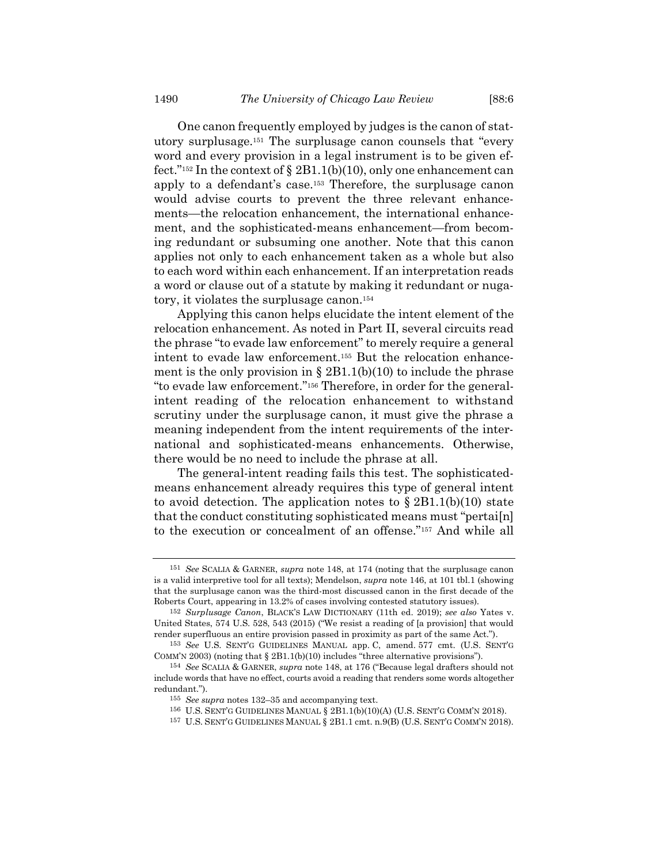One canon frequently employed by judges is the canon of statutory surplusage.<sup>151</sup> The surplusage canon counsels that "every word and every provision in a legal instrument is to be given effect."<sup>152</sup> In the context of § 2B1.1(b)(10), only one enhancement can apply to a defendant's case.<sup>153</sup> Therefore, the surplusage canon would advise courts to prevent the three relevant enhancements—the relocation enhancement, the international enhancement, and the sophisticated-means enhancement—from becoming redundant or subsuming one another. Note that this canon applies not only to each enhancement taken as a whole but also to each word within each enhancement. If an interpretation reads a word or clause out of a statute by making it redundant or nugatory, it violates the surplusage canon.<sup>154</sup>

Applying this canon helps elucidate the intent element of the relocation enhancement. As noted in Part II, several circuits read the phrase "to evade law enforcement" to merely require a general intent to evade law enforcement.<sup>155</sup> But the relocation enhancement is the only provision in  $\S 2B1.1(b)(10)$  to include the phrase "to evade law enforcement." <sup>156</sup> Therefore, in order for the generalintent reading of the relocation enhancement to withstand scrutiny under the surplusage canon, it must give the phrase a meaning independent from the intent requirements of the international and sophisticated-means enhancements. Otherwise, there would be no need to include the phrase at all.

The general-intent reading fails this test. The sophisticatedmeans enhancement already requires this type of general intent to avoid detection. The application notes to  $\S 2B1.1(b)(10)$  state that the conduct constituting sophisticated means must "pertai[n] to the execution or concealment of an offense."<sup>157</sup> And while all

<sup>151</sup> *See* SCALIA & GARNER, *supra* note [148,](#page-24-2) at 174 (noting that the surplusage canon is a valid interpretive tool for all texts); Mendelson, *supra* note [146,](#page-24-1) at 101 tbl.1 (showing that the surplusage canon was the third-most discussed canon in the first decade of the Roberts Court, appearing in 13.2% of cases involving contested statutory issues).

<sup>152</sup> *Surplusage Canon*, BLACK'S LAW DICTIONARY (11th ed. 2019); *see also* Yates v. United States, 574 U.S. 528, 543 (2015) ("We resist a reading of [a provision] that would render superfluous an entire provision passed in proximity as part of the same Act.").

<sup>153</sup> *See* U.S. SENT'G GUIDELINES MANUAL app. C, amend. 577 cmt. (U.S. SENT'G COMM'N 2003) (noting that  $\S 2B1.1(b)(10)$  includes "three alternative provisions").

<sup>154</sup> *See* SCALIA & GARNER, *supra* note [148](#page-24-2), at 176 ("Because legal drafters should not include words that have no effect, courts avoid a reading that renders some words altogether redundant.").

<sup>155</sup> *See supra* notes [132](#page-21-0)–35 and accompanying text.

<sup>156</sup> U.S. SENT'G GUIDELINES MANUAL § 2B1.1(b)(10)(A) (U.S. SENT'G COMM'N 2018).

<sup>157</sup> U.S. SENT'G GUIDELINES MANUAL § 2B1.1 cmt. n.9(B) (U.S. SENT'G COMM'N 2018).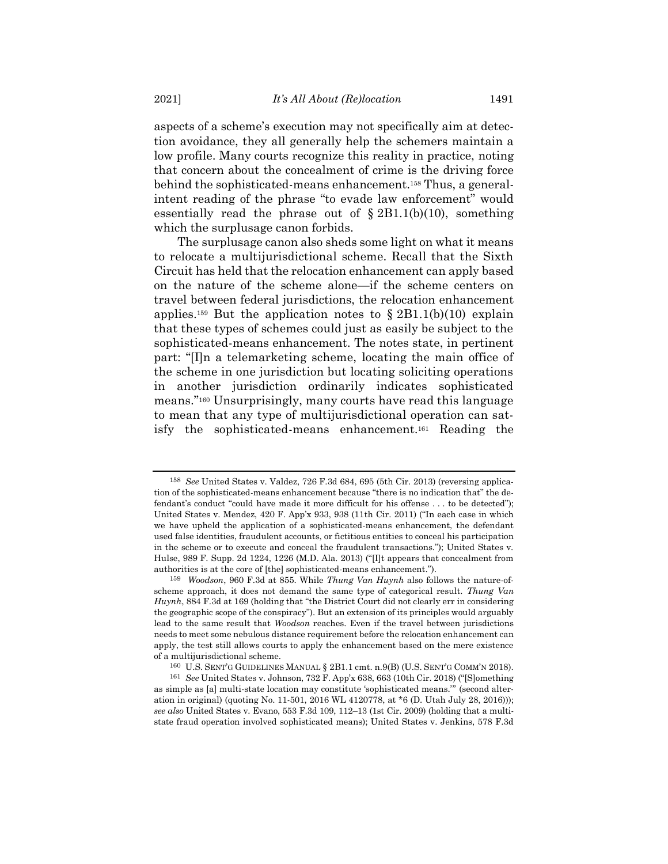aspects of a scheme's execution may not specifically aim at detection avoidance, they all generally help the schemers maintain a low profile. Many courts recognize this reality in practice, noting that concern about the concealment of crime is the driving force behind the sophisticated-means enhancement.<sup>158</sup> Thus, a generalintent reading of the phrase "to evade law enforcement" would essentially read the phrase out of  $\S 2B1.1(b)(10)$ , something which the surplusage canon forbids.

The surplusage canon also sheds some light on what it means to relocate a multijurisdictional scheme. Recall that the Sixth Circuit has held that the relocation enhancement can apply based on the nature of the scheme alone—if the scheme centers on travel between federal jurisdictions, the relocation enhancement applies.<sup>159</sup> But the application notes to  $\S 2B1.1(b)(10)$  explain that these types of schemes could just as easily be subject to the sophisticated-means enhancement. The notes state, in pertinent part: "[I]n a telemarketing scheme, locating the main office of the scheme in one jurisdiction but locating soliciting operations in another jurisdiction ordinarily indicates sophisticated means."<sup>160</sup> Unsurprisingly, many courts have read this language to mean that any type of multijurisdictional operation can satisfy the sophisticated-means enhancement.<sup>161</sup> Reading the

<span id="page-26-1"></span><span id="page-26-0"></span><sup>158</sup> *See* United States v. Valdez, 726 F.3d 684, 695 (5th Cir. 2013) (reversing application of the sophisticated-means enhancement because "there is no indication that" the defendant's conduct "could have made it more difficult for his offense . . . to be detected"); United States v. Mendez, 420 F. App'x 933, 938 (11th Cir. 2011) ("In each case in which we have upheld the application of a sophisticated-means enhancement, the defendant used false identities, fraudulent accounts, or fictitious entities to conceal his participation in the scheme or to execute and conceal the fraudulent transactions."); United States v. Hulse, 989 F. Supp. 2d 1224, 1226 (M.D. Ala. 2013) ("[I]t appears that concealment from authorities is at the core of [the] sophisticated-means enhancement.").

<sup>159</sup> *Woodson*, 960 F.3d at 855. While *Thung Van Huynh* also follows the nature-ofscheme approach, it does not demand the same type of categorical result. *Thung Van Huynh*, 884 F.3d at 169 (holding that "the District Court did not clearly err in considering the geographic scope of the conspiracy"). But an extension of its principles would arguably lead to the same result that *Woodson* reaches. Even if the travel between jurisdictions needs to meet some nebulous distance requirement before the relocation enhancement can apply, the test still allows courts to apply the enhancement based on the mere existence of a multijurisdictional scheme.

<sup>160</sup> U.S. SENT'G GUIDELINES MANUAL § 2B1.1 cmt. n.9(B) (U.S. SENT'G COMM'N 2018).

<sup>161</sup> *See* United States v. Johnson, 732 F. App'x 638, 663 (10th Cir. 2018) ("[S]omething as simple as [a] multi-state location may constitute 'sophisticated means.'" (second alteration in original) (quoting No. 11-501, 2016 WL 4120778, at \*6 (D. Utah July 28, 2016))); *see also* United States v. Evano, 553 F.3d 109, 112–13 (1st Cir. 2009) (holding that a multistate fraud operation involved sophisticated means); United States v. Jenkins, 578 F.3d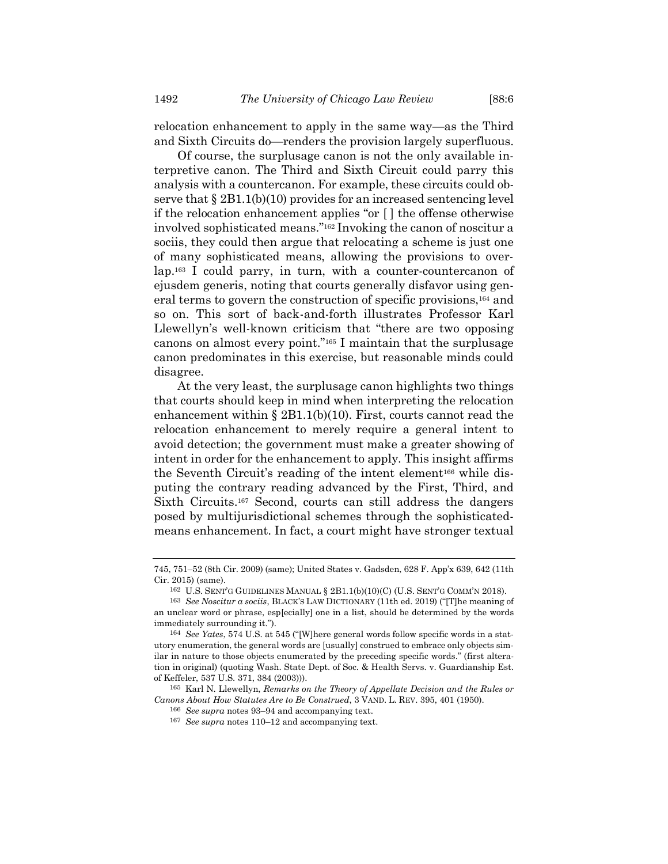relocation enhancement to apply in the same way—as the Third and Sixth Circuits do—renders the provision largely superfluous.

Of course, the surplusage canon is not the only available interpretive canon. The Third and Sixth Circuit could parry this analysis with a countercanon. For example, these circuits could observe that § 2B1.1(b)(10) provides for an increased sentencing level if the relocation enhancement applies "or [ ] the offense otherwise involved sophisticated means."<sup>162</sup> Invoking the canon of noscitur a sociis, they could then argue that relocating a scheme is just one of many sophisticated means, allowing the provisions to overlap.<sup>163</sup> I could parry, in turn, with a counter-countercanon of ejusdem generis, noting that courts generally disfavor using general terms to govern the construction of specific provisions,<sup>164</sup> and so on. This sort of back-and-forth illustrates Professor Karl Llewellyn's well-known criticism that "there are two opposing canons on almost every point."<sup>165</sup> I maintain that the surplusage canon predominates in this exercise, but reasonable minds could disagree.

At the very least, the surplusage canon highlights two things that courts should keep in mind when interpreting the relocation enhancement within  $\S 2B1.1(b)(10)$ . First, courts cannot read the relocation enhancement to merely require a general intent to avoid detection; the government must make a greater showing of intent in order for the enhancement to apply. This insight affirms the Seventh Circuit's reading of the intent element<sup>166</sup> while disputing the contrary reading advanced by the First, Third, and Sixth Circuits.<sup>167</sup> Second, courts can still address the dangers posed by multijurisdictional schemes through the sophisticatedmeans enhancement. In fact, a court might have stronger textual

165 Karl N. Llewellyn, *Remarks on the Theory of Appellate Decision and the Rules or Canons About How Statutes Are to Be Construed*, 3 VAND. L. REV. 395, 401 (1950).

<sup>745, 751</sup>–52 (8th Cir. 2009) (same); United States v. Gadsden, 628 F. App'x 639, 642 (11th Cir. 2015) (same).

<sup>162</sup> U.S. SENT'G GUIDELINES MANUAL § 2B1.1(b)(10)(C) (U.S. SENT'G COMM'N 2018).

<sup>163</sup> *See Noscitur a sociis*, BLACK'S LAW DICTIONARY (11th ed. 2019) ("[T]he meaning of an unclear word or phrase, esp[ecially] one in a list, should be determined by the words immediately surrounding it.").

<sup>164</sup> *See Yates*, 574 U.S. at 545 ("[W]here general words follow specific words in a statutory enumeration, the general words are [usually] construed to embrace only objects similar in nature to those objects enumerated by the preceding specific words." (first alteration in original) (quoting Wash. State Dept. of Soc. & Health Servs. v. Guardianship Est. of Keffeler, 537 U.S. 371, 384 (2003))).

<sup>166</sup> *See supra* notes [93](#page-15-0)–[94](#page-15-1) and accompanying text.

<sup>167</sup> *See supra* notes [110](#page-17-0)–12 and accompanying text.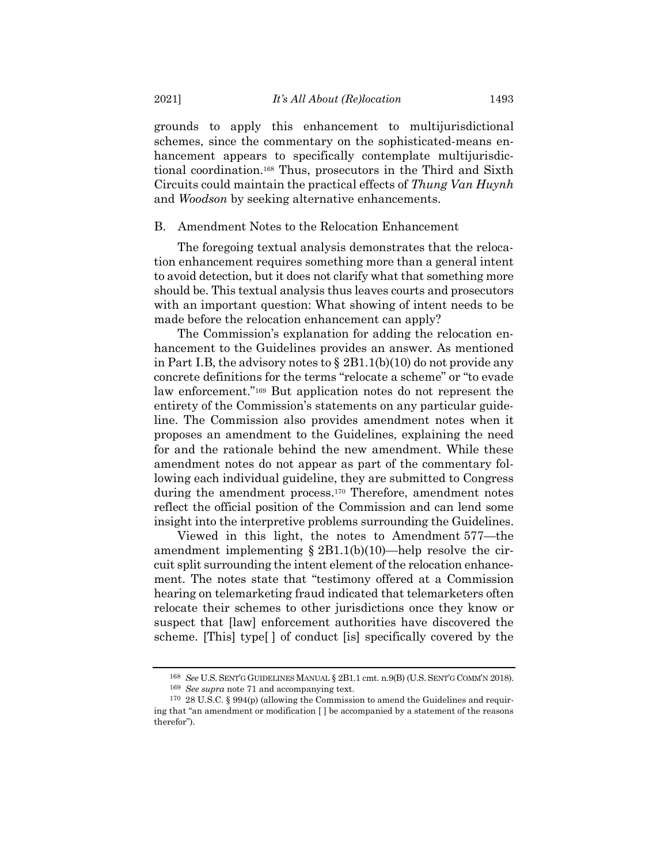grounds to apply this enhancement to multijurisdictional schemes, since the commentary on the sophisticated-means enhancement appears to specifically contemplate multijurisdictional coordination.<sup>168</sup> Thus, prosecutors in the Third and Sixth Circuits could maintain the practical effects of *Thung Van Huynh* and *Woodson* by seeking alternative enhancements.

# B. Amendment Notes to the Relocation Enhancement

The foregoing textual analysis demonstrates that the relocation enhancement requires something more than a general intent to avoid detection, but it does not clarify what that something more should be. This textual analysis thus leaves courts and prosecutors with an important question: What showing of intent needs to be made before the relocation enhancement can apply?

The Commission's explanation for adding the relocation enhancement to the Guidelines provides an answer. As mentioned in Part I.B, the advisory notes to § 2B1.1(b)(10) do not provide any concrete definitions for the terms "relocate a scheme" or "to evade law enforcement."<sup>169</sup> But application notes do not represent the entirety of the Commission's statements on any particular guideline. The Commission also provides amendment notes when it proposes an amendment to the Guidelines, explaining the need for and the rationale behind the new amendment. While these amendment notes do not appear as part of the commentary following each individual guideline, they are submitted to Congress during the amendment process.<sup>170</sup> Therefore, amendment notes reflect the official position of the Commission and can lend some insight into the interpretive problems surrounding the Guidelines.

Viewed in this light, the notes to Amendment 577—the amendment implementing  $\S 2B1.1(b)(10)$ —help resolve the circuit split surrounding the intent element of the relocation enhancement. The notes state that "testimony offered at a Commission hearing on telemarketing fraud indicated that telemarketers often relocate their schemes to other jurisdictions once they know or suspect that [law] enforcement authorities have discovered the scheme. [This] type[ ] of conduct [is] specifically covered by the

<sup>168</sup> *See* U.S. SENT'G GUIDELINES MANUAL § 2B1.1 cmt. n.9(B) (U.S. SENT'G COMM'N 2018).

<sup>169</sup> *See supra* note [71](#page-11-0) and accompanying text.

<sup>170</sup> 28 U.S.C. § 994(p) (allowing the Commission to amend the Guidelines and requiring that "an amendment or modification [ ] be accompanied by a statement of the reasons therefor").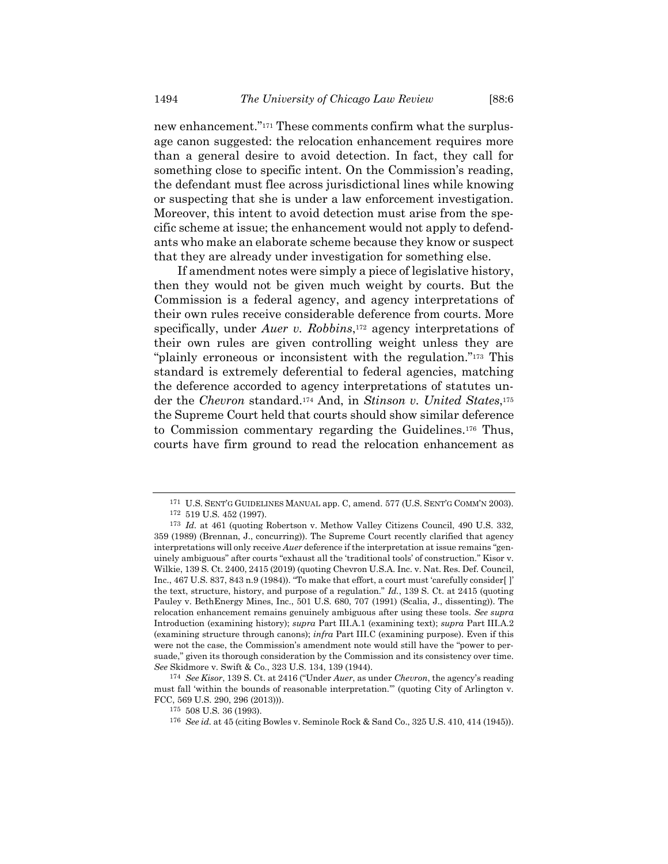new enhancement."<sup>171</sup> These comments confirm what the surplusage canon suggested: the relocation enhancement requires more than a general desire to avoid detection. In fact, they call for something close to specific intent. On the Commission's reading, the defendant must flee across jurisdictional lines while knowing or suspecting that she is under a law enforcement investigation. Moreover, this intent to avoid detection must arise from the specific scheme at issue; the enhancement would not apply to defendants who make an elaborate scheme because they know or suspect that they are already under investigation for something else.

If amendment notes were simply a piece of legislative history, then they would not be given much weight by courts. But the Commission is a federal agency, and agency interpretations of their own rules receive considerable deference from courts. More specifically, under *Auer v. Robbins*, <sup>172</sup> agency interpretations of their own rules are given controlling weight unless they are "plainly erroneous or inconsistent with the regulation."<sup>173</sup> This standard is extremely deferential to federal agencies, matching the deference accorded to agency interpretations of statutes under the *Chevron* standard.<sup>174</sup> And, in *Stinson v. United States*, 175 the Supreme Court held that courts should show similar deference to Commission commentary regarding the Guidelines.<sup>176</sup> Thus, courts have firm ground to read the relocation enhancement as

174 *See Kisor*, 139 S. Ct. at 2416 ("Under *Auer*, as under *Chevron*, the agency's reading must fall 'within the bounds of reasonable interpretation.'" (quoting City of Arlington v. FCC, 569 U.S. 290, 296 (2013))).

<sup>171</sup> U.S. SENT'G GUIDELINES MANUAL app. C, amend. 577 (U.S. SENT'G COMM'N 2003).

<sup>172</sup> 519 U.S. 452 (1997).

<sup>173</sup> *Id.* at 461 (quoting Robertson v. Methow Valley Citizens Council, 490 U.S. 332, 359 (1989) (Brennan, J., concurring)). The Supreme Court recently clarified that agency interpretations will only receive *Auer* deference if the interpretation at issue remains "genuinely ambiguous" after courts "exhaust all the 'traditional tools' of construction." Kisor v. Wilkie, 139 S. Ct. 2400, 2415 (2019) (quoting Chevron U.S.A. Inc. v. Nat. Res. Def. Council, Inc., 467 U.S. 837, 843 n.9 (1984)). "To make that effort, a court must 'carefully consider[ ]' the text, structure, history, and purpose of a regulation." *Id.*, 139 S. Ct. at 2415 (quoting Pauley v. BethEnergy Mines, Inc., 501 U.S. 680, 707 (1991) (Scalia, J., dissenting)). The relocation enhancement remains genuinely ambiguous after using these tools. *See supra* Introduction (examining history); *supra* Part III.A.1 (examining text); *supra* Part III.A.2 (examining structure through canons); *infra* Part III.C (examining purpose). Even if this were not the case, the Commission's amendment note would still have the "power to persuade," given its thorough consideration by the Commission and its consistency over time. *See* Skidmore v. Swift & Co., 323 U.S. 134, 139 (1944).

<sup>175</sup> 508 U.S. 36 (1993).

<sup>176</sup> *See id.* at 45 (citing Bowles v. Seminole Rock & Sand Co., 325 U.S. 410, 414 (1945)).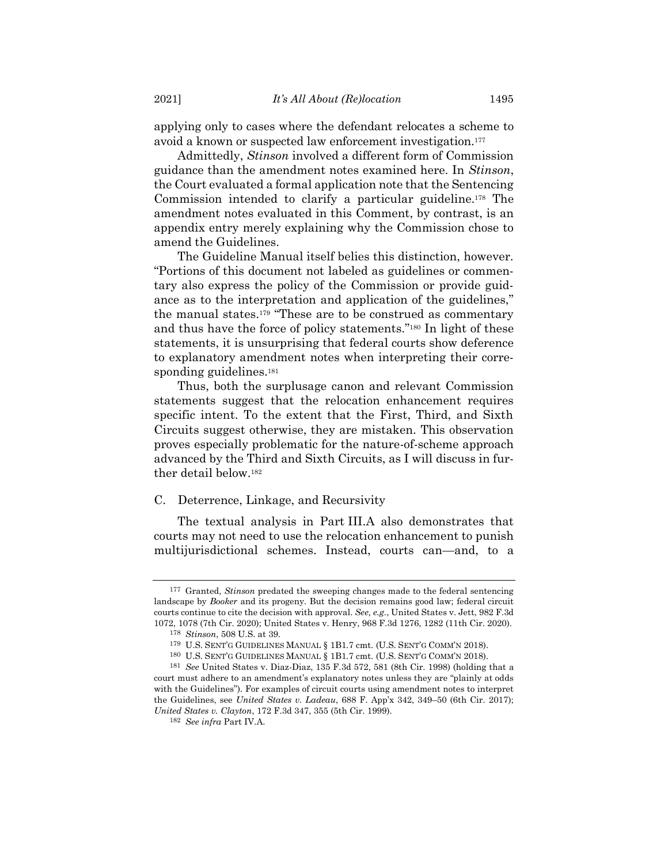applying only to cases where the defendant relocates a scheme to avoid a known or suspected law enforcement investigation. 177

Admittedly, *Stinson* involved a different form of Commission guidance than the amendment notes examined here. In *Stinson*, the Court evaluated a formal application note that the Sentencing Commission intended to clarify a particular guideline.<sup>178</sup> The amendment notes evaluated in this Comment, by contrast, is an appendix entry merely explaining why the Commission chose to amend the Guidelines.

The Guideline Manual itself belies this distinction, however. "Portions of this document not labeled as guidelines or commentary also express the policy of the Commission or provide guidance as to the interpretation and application of the guidelines," the manual states.<sup>179</sup> "These are to be construed as commentary and thus have the force of policy statements."<sup>180</sup> In light of these statements, it is unsurprising that federal courts show deference to explanatory amendment notes when interpreting their corresponding guidelines.<sup>181</sup>

Thus, both the surplusage canon and relevant Commission statements suggest that the relocation enhancement requires specific intent. To the extent that the First, Third, and Sixth Circuits suggest otherwise, they are mistaken. This observation proves especially problematic for the nature-of-scheme approach advanced by the Third and Sixth Circuits, as I will discuss in further detail below.<sup>182</sup>

# C. Deterrence, Linkage, and Recursivity

The textual analysis in Part III.A also demonstrates that courts may not need to use the relocation enhancement to punish multijurisdictional schemes. Instead, courts can—and, to a

<sup>177</sup> Granted, *Stinson* predated the sweeping changes made to the federal sentencing landscape by *Booker* and its progeny. But the decision remains good law; federal circuit courts continue to cite the decision with approval. *See, e.g.*, United States v. Jett, 982 F.3d 1072, 1078 (7th Cir. 2020); United States v. Henry, 968 F.3d 1276, 1282 (11th Cir. 2020).

<sup>178</sup> *Stinson*, 508 U.S. at 39.

<sup>179</sup> U.S. SENT'G GUIDELINES MANUAL § 1B1.7 cmt. (U.S. SENT'G COMM'N 2018).

<sup>180</sup> U.S. SENT'G GUIDELINES MANUAL § 1B1.7 cmt. (U.S. SENT'G COMM'N 2018).

<sup>181</sup> *See* United States v. Diaz-Diaz, 135 F.3d 572, 581 (8th Cir. 1998) (holding that a court must adhere to an amendment's explanatory notes unless they are "plainly at odds with the Guidelines"). For examples of circuit courts using amendment notes to interpret the Guidelines, see *United States v. Ladeau*, 688 F. App'x 342, 349–50 (6th Cir. 2017); *United States v. Clayton*, 172 F.3d 347, 355 (5th Cir. 1999).

<sup>182</sup> *See infra* Part IV.A.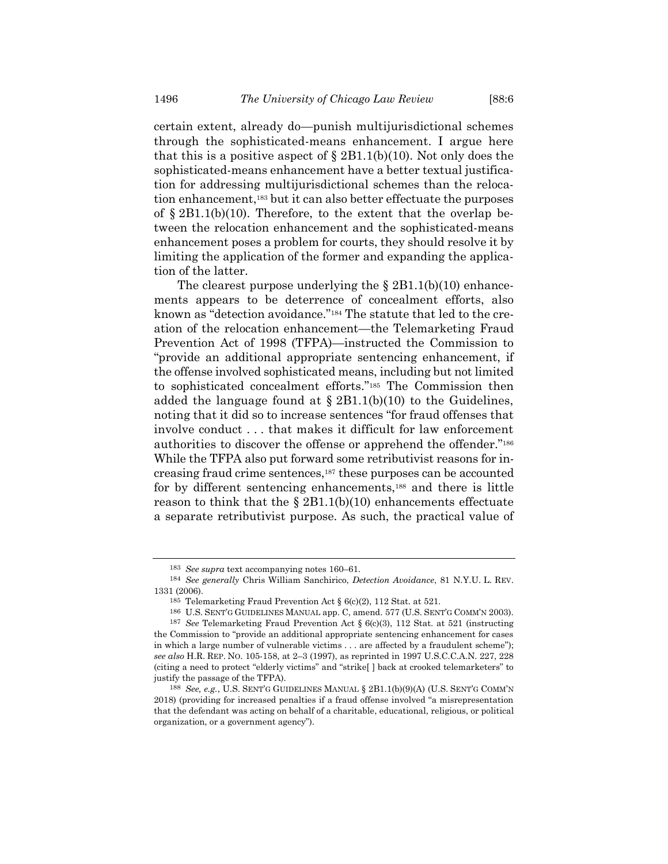certain extent, already do—punish multijurisdictional schemes through the sophisticated-means enhancement. I argue here that this is a positive aspect of  $\S 2B1.1(b)(10)$ . Not only does the sophisticated-means enhancement have a better textual justification for addressing multijurisdictional schemes than the relocation enhancement,<sup>183</sup> but it can also better effectuate the purposes of  $\S 2B1.1(b)(10)$ . Therefore, to the extent that the overlap between the relocation enhancement and the sophisticated-means enhancement poses a problem for courts, they should resolve it by limiting the application of the former and expanding the application of the latter.

<span id="page-31-0"></span>The clearest purpose underlying the  $\S 2B1.1(b)(10)$  enhancements appears to be deterrence of concealment efforts, also known as "detection avoidance."<sup>184</sup> The statute that led to the creation of the relocation enhancement—the Telemarketing Fraud Prevention Act of 1998 (TFPA)—instructed the Commission to "provide an additional appropriate sentencing enhancement, if the offense involved sophisticated means, including but not limited to sophisticated concealment efforts."<sup>185</sup> The Commission then added the language found at  $\S 2B1.1(b)(10)$  to the Guidelines, noting that it did so to increase sentences "for fraud offenses that involve conduct . . . that makes it difficult for law enforcement authorities to discover the offense or apprehend the offender."<sup>186</sup> While the TFPA also put forward some retributivist reasons for increasing fraud crime sentences,<sup>187</sup> these purposes can be accounted for by different sentencing enhancements,<sup>188</sup> and there is little reason to think that the  $\S 2B1.1(b)(10)$  enhancements effectuate a separate retributivist purpose. As such, the practical value of

<sup>183</sup> *See supra* text accompanying notes [160](#page-26-0)–61.

<sup>184</sup> *See generally* Chris William Sanchirico, *Detection Avoidance*, 81 N.Y.U. L. REV. 1331 (2006).

<sup>185</sup> Telemarketing Fraud Prevention Act § 6(c)(2), 112 Stat. at 521.

<sup>186</sup> U.S. SENT'G GUIDELINES MANUAL app. C, amend. 577 (U.S. SENT'G COMM'N 2003).

<sup>187</sup> *See* Telemarketing Fraud Prevention Act § 6(c)(3), 112 Stat. at 521 (instructing the Commission to "provide an additional appropriate sentencing enhancement for cases in which a large number of vulnerable victims . . . are affected by a fraudulent scheme"); *see also* H.R. REP. NO. 105-158, at 2–3 (1997), as reprinted in 1997 U.S.C.C.A.N. 227, 228 (citing a need to protect "elderly victims" and "strike[ ] back at crooked telemarketers" to justify the passage of the TFPA).

<sup>188</sup> *See, e.g.*, U.S. SENT'G GUIDELINES MANUAL § 2B1.1(b)(9)(A) (U.S. SENT'G COMM'N 2018) (providing for increased penalties if a fraud offense involved "a misrepresentation that the defendant was acting on behalf of a charitable, educational, religious, or political organization, or a government agency").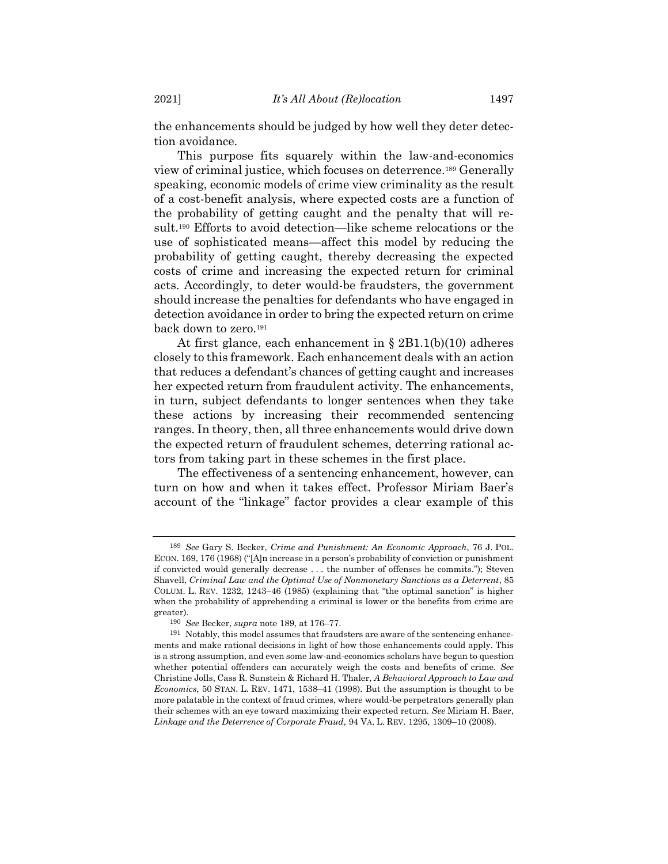the enhancements should be judged by how well they deter detection avoidance.

<span id="page-32-0"></span>This purpose fits squarely within the law-and-economics view of criminal justice, which focuses on deterrence.<sup>189</sup> Generally speaking, economic models of crime view criminality as the result of a cost-benefit analysis, where expected costs are a function of the probability of getting caught and the penalty that will result.<sup>190</sup> Efforts to avoid detection—like scheme relocations or the use of sophisticated means—affect this model by reducing the probability of getting caught, thereby decreasing the expected costs of crime and increasing the expected return for criminal acts. Accordingly, to deter would-be fraudsters, the government should increase the penalties for defendants who have engaged in detection avoidance in order to bring the expected return on crime back down to zero.<sup>191</sup>

<span id="page-32-1"></span>At first glance, each enhancement in § 2B1.1(b)(10) adheres closely to this framework. Each enhancement deals with an action that reduces a defendant's chances of getting caught and increases her expected return from fraudulent activity. The enhancements, in turn, subject defendants to longer sentences when they take these actions by increasing their recommended sentencing ranges. In theory, then, all three enhancements would drive down the expected return of fraudulent schemes, deterring rational actors from taking part in these schemes in the first place.

The effectiveness of a sentencing enhancement, however, can turn on how and when it takes effect. Professor Miriam Baer's account of the "linkage" factor provides a clear example of this

<sup>189</sup> *See* Gary S. Becker, *Crime and Punishment: An Economic Approach*, 76 J. POL. ECON. 169, 176 (1968) ("[A]n increase in a person's probability of conviction or punishment if convicted would generally decrease . . . the number of offenses he commits."); Steven Shavell, *Criminal Law and the Optimal Use of Nonmonetary Sanctions as a Deterrent*, 85 COLUM. L. REV. 1232, 1243–46 (1985) (explaining that "the optimal sanction" is higher when the probability of apprehending a criminal is lower or the benefits from crime are greater).

<sup>190</sup> *See* Becker, *supra* note [189,](#page-32-0) at 176–77.

<sup>191</sup> Notably, this model assumes that fraudsters are aware of the sentencing enhancements and make rational decisions in light of how those enhancements could apply. This is a strong assumption, and even some law-and-economics scholars have begun to question whether potential offenders can accurately weigh the costs and benefits of crime. *See* Christine Jolls, Cass R. Sunstein & Richard H. Thaler, *A Behavioral Approach to Law and Economics*, 50 STAN. L. REV. 1471, 1538–41 (1998). But the assumption is thought to be more palatable in the context of fraud crimes, where would-be perpetrators generally plan their schemes with an eye toward maximizing their expected return. *See* Miriam H. Baer, *Linkage and the Deterrence of Corporate Fraud*, 94 VA. L. REV. 1295, 1309–10 (2008).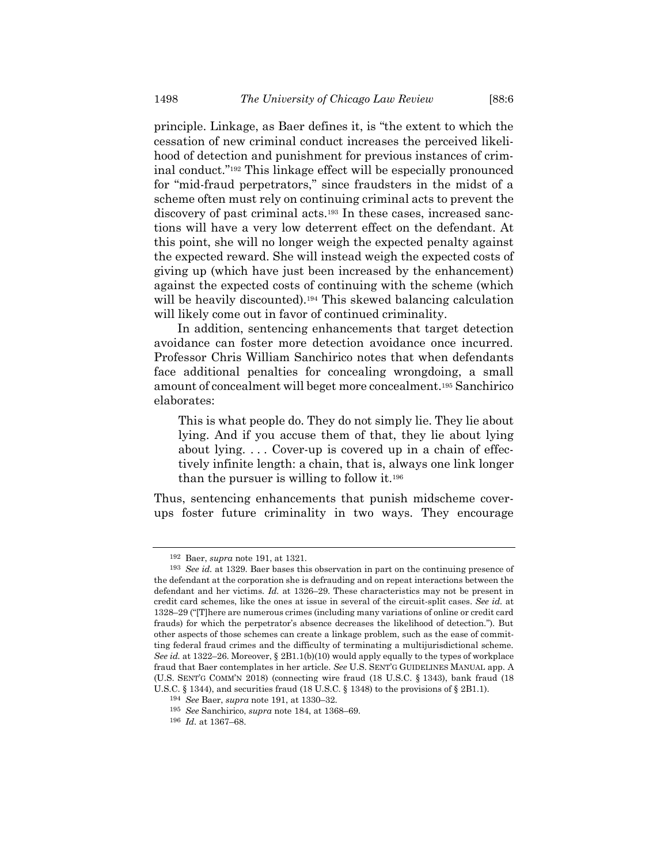<span id="page-33-0"></span>principle. Linkage, as Baer defines it, is "the extent to which the cessation of new criminal conduct increases the perceived likelihood of detection and punishment for previous instances of criminal conduct."<sup>192</sup> This linkage effect will be especially pronounced for "mid-fraud perpetrators," since fraudsters in the midst of a scheme often must rely on continuing criminal acts to prevent the discovery of past criminal acts.<sup>193</sup> In these cases, increased sanctions will have a very low deterrent effect on the defendant. At this point, she will no longer weigh the expected penalty against the expected reward. She will instead weigh the expected costs of giving up (which have just been increased by the enhancement) against the expected costs of continuing with the scheme (which will be heavily discounted).<sup>194</sup> This skewed balancing calculation will likely come out in favor of continued criminality.

In addition, sentencing enhancements that target detection avoidance can foster more detection avoidance once incurred. Professor Chris William Sanchirico notes that when defendants face additional penalties for concealing wrongdoing, a small amount of concealment will beget more concealment.<sup>195</sup> Sanchirico elaborates:

This is what people do. They do not simply lie. They lie about lying. And if you accuse them of that, they lie about lying about lying. . . . Cover-up is covered up in a chain of effectively infinite length: a chain, that is, always one link longer than the pursuer is willing to follow it.<sup>196</sup>

Thus, sentencing enhancements that punish midscheme coverups foster future criminality in two ways. They encourage

<sup>192</sup> Baer, *supra* note [191,](#page-32-1) at 1321.

<sup>193</sup> *See id.* at 1329. Baer bases this observation in part on the continuing presence of the defendant at the corporation she is defrauding and on repeat interactions between the defendant and her victims. *Id.* at 1326–29. These characteristics may not be present in credit card schemes, like the ones at issue in several of the circuit-split cases. *See id.* at 1328–29 ("[T]here are numerous crimes (including many variations of online or credit card frauds) for which the perpetrator's absence decreases the likelihood of detection."). But other aspects of those schemes can create a linkage problem, such as the ease of committing federal fraud crimes and the difficulty of terminating a multijurisdictional scheme. *See id.* at 1322–26. Moreover, § 2B1.1(b)(10) would apply equally to the types of workplace fraud that Baer contemplates in her article. *See* U.S. SENT'G GUIDELINES MANUAL app. A (U.S. SENT'G COMM'N 2018) (connecting wire fraud (18 U.S.C. § 1343), bank fraud (18 U.S.C. § 1344), and securities fraud (18 U.S.C. § 1348) to the provisions of § 2B1.1).

<sup>194</sup> *See* Baer, *supra* note [191,](#page-32-1) at 1330–32.

<sup>195</sup> *See* Sanchirico, *supra* note [184,](#page-31-0) at 1368–69.

<sup>196</sup> *Id.* at 1367–68.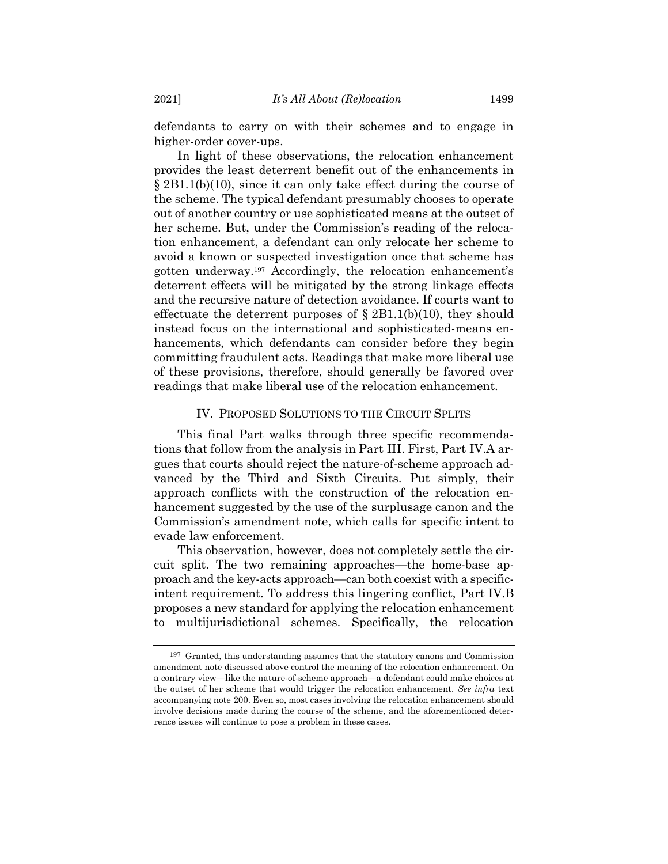defendants to carry on with their schemes and to engage in higher-order cover-ups.

In light of these observations, the relocation enhancement provides the least deterrent benefit out of the enhancements in § 2B1.1(b)(10), since it can only take effect during the course of the scheme. The typical defendant presumably chooses to operate out of another country or use sophisticated means at the outset of her scheme. But, under the Commission's reading of the relocation enhancement, a defendant can only relocate her scheme to avoid a known or suspected investigation once that scheme has gotten underway.<sup>197</sup> Accordingly, the relocation enhancement's deterrent effects will be mitigated by the strong linkage effects and the recursive nature of detection avoidance. If courts want to effectuate the deterrent purposes of  $\S 2B1.1(b)(10)$ , they should instead focus on the international and sophisticated-means enhancements, which defendants can consider before they begin committing fraudulent acts. Readings that make more liberal use of these provisions, therefore, should generally be favored over readings that make liberal use of the relocation enhancement.

#### IV. PROPOSED SOLUTIONS TO THE CIRCUIT SPLITS

This final Part walks through three specific recommendations that follow from the analysis in Part III. First, Part IV.A argues that courts should reject the nature-of-scheme approach advanced by the Third and Sixth Circuits. Put simply, their approach conflicts with the construction of the relocation enhancement suggested by the use of the surplusage canon and the Commission's amendment note, which calls for specific intent to evade law enforcement.

This observation, however, does not completely settle the circuit split. The two remaining approaches—the home-base approach and the key-acts approach—can both coexist with a specificintent requirement. To address this lingering conflict, Part IV.B proposes a new standard for applying the relocation enhancement to multijurisdictional schemes. Specifically, the relocation

<sup>197</sup> Granted, this understanding assumes that the statutory canons and Commission amendment note discussed above control the meaning of the relocation enhancement. On a contrary view—like the nature-of-scheme approach—a defendant could make choices at the outset of her scheme that would trigger the relocation enhancement. *See infra* text accompanying note [200.](#page-35-0) Even so, most cases involving the relocation enhancement should involve decisions made during the course of the scheme, and the aforementioned deterrence issues will continue to pose a problem in these cases.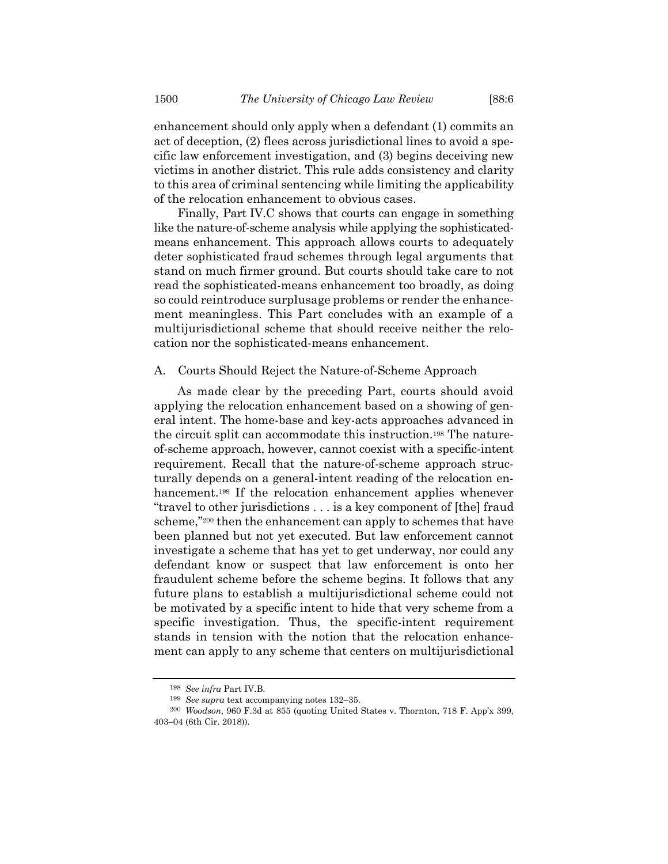enhancement should only apply when a defendant (1) commits an act of deception, (2) flees across jurisdictional lines to avoid a specific law enforcement investigation, and (3) begins deceiving new victims in another district. This rule adds consistency and clarity to this area of criminal sentencing while limiting the applicability of the relocation enhancement to obvious cases.

Finally, Part IV.C shows that courts can engage in something like the nature-of-scheme analysis while applying the sophisticatedmeans enhancement. This approach allows courts to adequately deter sophisticated fraud schemes through legal arguments that stand on much firmer ground. But courts should take care to not read the sophisticated-means enhancement too broadly, as doing so could reintroduce surplusage problems or render the enhancement meaningless. This Part concludes with an example of a multijurisdictional scheme that should receive neither the relocation nor the sophisticated-means enhancement.

# A. Courts Should Reject the Nature-of-Scheme Approach

<span id="page-35-0"></span>As made clear by the preceding Part, courts should avoid applying the relocation enhancement based on a showing of general intent. The home-base and key-acts approaches advanced in the circuit split can accommodate this instruction.<sup>198</sup> The natureof-scheme approach, however, cannot coexist with a specific-intent requirement. Recall that the nature-of-scheme approach structurally depends on a general-intent reading of the relocation enhancement.<sup>199</sup> If the relocation enhancement applies whenever "travel to other jurisdictions . . . is a key component of [the] fraud scheme,"<sup>200</sup> then the enhancement can apply to schemes that have been planned but not yet executed. But law enforcement cannot investigate a scheme that has yet to get underway, nor could any defendant know or suspect that law enforcement is onto her fraudulent scheme before the scheme begins. It follows that any future plans to establish a multijurisdictional scheme could not be motivated by a specific intent to hide that very scheme from a specific investigation. Thus, the specific-intent requirement stands in tension with the notion that the relocation enhancement can apply to any scheme that centers on multijurisdictional

<sup>198</sup> *See infra* Part IV.B.

<sup>199</sup> *See supra* text accompanying notes [132](#page-21-0)–35.

<sup>200</sup> *Woodson*, 960 F.3d at 855 (quoting United States v. Thornton, 718 F. App'x 399, 403–04 (6th Cir. 2018)).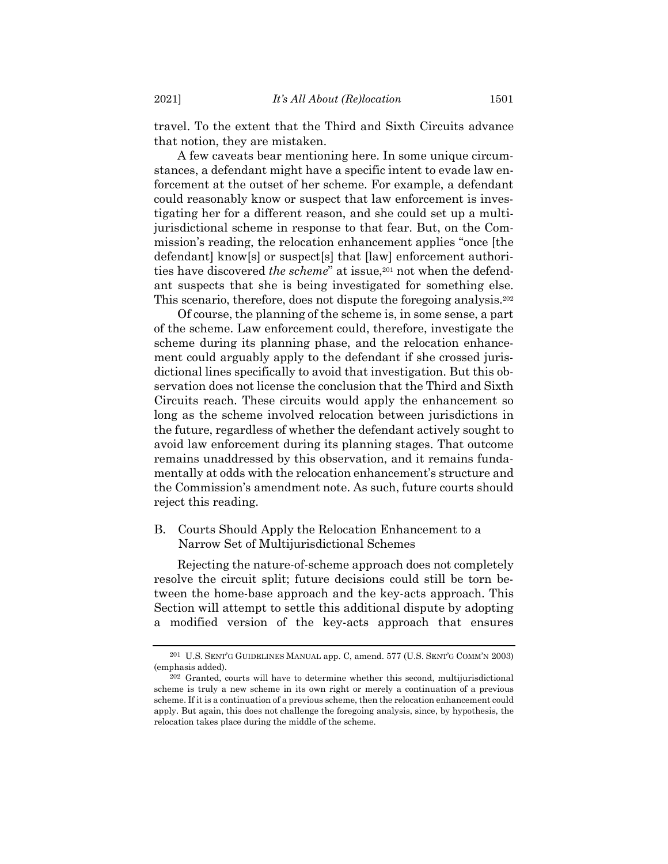travel. To the extent that the Third and Sixth Circuits advance that notion, they are mistaken.

A few caveats bear mentioning here. In some unique circumstances, a defendant might have a specific intent to evade law enforcement at the outset of her scheme. For example, a defendant could reasonably know or suspect that law enforcement is investigating her for a different reason, and she could set up a multijurisdictional scheme in response to that fear. But, on the Commission's reading, the relocation enhancement applies "once [the defendant] know[s] or suspect[s] that [law] enforcement authorities have discovered *the scheme*" at issue,<sup>201</sup> not when the defendant suspects that she is being investigated for something else. This scenario, therefore, does not dispute the foregoing analysis. 202

Of course, the planning of the scheme is, in some sense, a part of the scheme. Law enforcement could, therefore, investigate the scheme during its planning phase, and the relocation enhancement could arguably apply to the defendant if she crossed jurisdictional lines specifically to avoid that investigation. But this observation does not license the conclusion that the Third and Sixth Circuits reach. These circuits would apply the enhancement so long as the scheme involved relocation between jurisdictions in the future, regardless of whether the defendant actively sought to avoid law enforcement during its planning stages. That outcome remains unaddressed by this observation, and it remains fundamentally at odds with the relocation enhancement's structure and the Commission's amendment note. As such, future courts should reject this reading.

# B. Courts Should Apply the Relocation Enhancement to a Narrow Set of Multijurisdictional Schemes

Rejecting the nature-of-scheme approach does not completely resolve the circuit split; future decisions could still be torn between the home-base approach and the key-acts approach. This Section will attempt to settle this additional dispute by adopting a modified version of the key-acts approach that ensures

<sup>201</sup> U.S. SENT'G GUIDELINES MANUAL app. C, amend. 577 (U.S. SENT'G COMM'N 2003) (emphasis added).

<sup>202</sup> Granted, courts will have to determine whether this second, multijurisdictional scheme is truly a new scheme in its own right or merely a continuation of a previous scheme. If it is a continuation of a previous scheme, then the relocation enhancement could apply. But again, this does not challenge the foregoing analysis, since, by hypothesis, the relocation takes place during the middle of the scheme.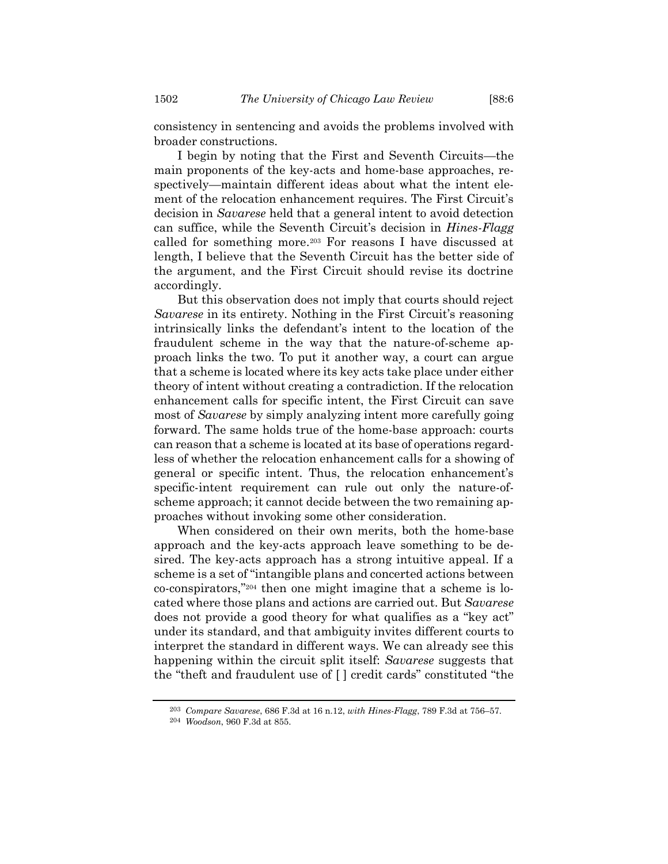consistency in sentencing and avoids the problems involved with broader constructions.

I begin by noting that the First and Seventh Circuits—the main proponents of the key-acts and home-base approaches, respectively—maintain different ideas about what the intent element of the relocation enhancement requires. The First Circuit's decision in *Savarese* held that a general intent to avoid detection can suffice, while the Seventh Circuit's decision in *Hines-Flagg* called for something more.<sup>203</sup> For reasons I have discussed at length, I believe that the Seventh Circuit has the better side of the argument, and the First Circuit should revise its doctrine accordingly.

But this observation does not imply that courts should reject *Savarese* in its entirety. Nothing in the First Circuit's reasoning intrinsically links the defendant's intent to the location of the fraudulent scheme in the way that the nature-of-scheme approach links the two. To put it another way, a court can argue that a scheme is located where its key acts take place under either theory of intent without creating a contradiction. If the relocation enhancement calls for specific intent, the First Circuit can save most of *Savarese* by simply analyzing intent more carefully going forward. The same holds true of the home-base approach: courts can reason that a scheme is located at its base of operations regardless of whether the relocation enhancement calls for a showing of general or specific intent. Thus, the relocation enhancement's specific-intent requirement can rule out only the nature-ofscheme approach; it cannot decide between the two remaining approaches without invoking some other consideration.

When considered on their own merits, both the home-base approach and the key-acts approach leave something to be desired. The key-acts approach has a strong intuitive appeal. If a scheme is a set of "intangible plans and concerted actions between co-conspirators," <sup>204</sup> then one might imagine that a scheme is located where those plans and actions are carried out. But *Savarese* does not provide a good theory for what qualifies as a "key act" under its standard, and that ambiguity invites different courts to interpret the standard in different ways. We can already see this happening within the circuit split itself: *Savarese* suggests that the "theft and fraudulent use of [ ] credit cards" constituted "the

<sup>203</sup> *Compare Savarese*, 686 F.3d at 16 n.12, *with Hines-Flagg*, 789 F.3d at 756–57.

<sup>204</sup> *Woodson*, 960 F.3d at 855.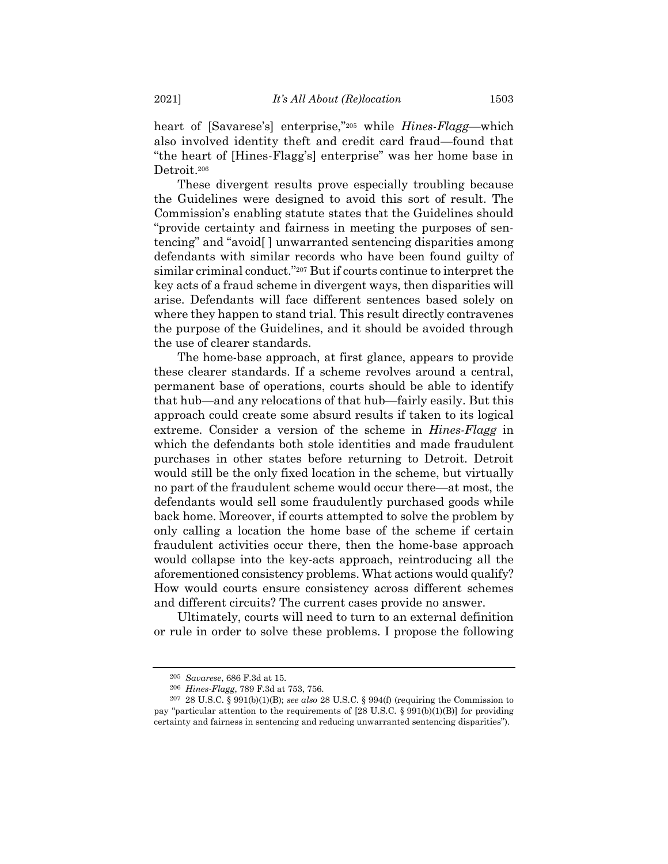heart of [Savarese's] enterprise,"<sup>205</sup> while *Hines-Flagg*—which also involved identity theft and credit card fraud—found that "the heart of [Hines-Flagg's] enterprise" was her home base in Detroit. 206

These divergent results prove especially troubling because the Guidelines were designed to avoid this sort of result. The Commission's enabling statute states that the Guidelines should "provide certainty and fairness in meeting the purposes of sentencing" and "avoid[ ] unwarranted sentencing disparities among defendants with similar records who have been found guilty of similar criminal conduct."<sup>207</sup> But if courts continue to interpret the key acts of a fraud scheme in divergent ways, then disparities will arise. Defendants will face different sentences based solely on where they happen to stand trial. This result directly contravenes the purpose of the Guidelines, and it should be avoided through the use of clearer standards.

The home-base approach, at first glance, appears to provide these clearer standards. If a scheme revolves around a central, permanent base of operations, courts should be able to identify that hub—and any relocations of that hub—fairly easily. But this approach could create some absurd results if taken to its logical extreme. Consider a version of the scheme in *Hines-Flagg* in which the defendants both stole identities and made fraudulent purchases in other states before returning to Detroit. Detroit would still be the only fixed location in the scheme, but virtually no part of the fraudulent scheme would occur there—at most, the defendants would sell some fraudulently purchased goods while back home. Moreover, if courts attempted to solve the problem by only calling a location the home base of the scheme if certain fraudulent activities occur there, then the home-base approach would collapse into the key-acts approach, reintroducing all the aforementioned consistency problems. What actions would qualify? How would courts ensure consistency across different schemes and different circuits? The current cases provide no answer.

Ultimately, courts will need to turn to an external definition or rule in order to solve these problems. I propose the following

<sup>205</sup> *Savarese*, 686 F.3d at 15.

<sup>206</sup> *Hines-Flagg*, 789 F.3d at 753, 756.

<sup>207</sup> 28 U.S.C. § 991(b)(1)(B); *see also* 28 U.S.C. § 994(f) (requiring the Commission to pay "particular attention to the requirements of  $[28 \text{ U.S.C. } § 991(b)(1)(B)]$  for providing certainty and fairness in sentencing and reducing unwarranted sentencing disparities").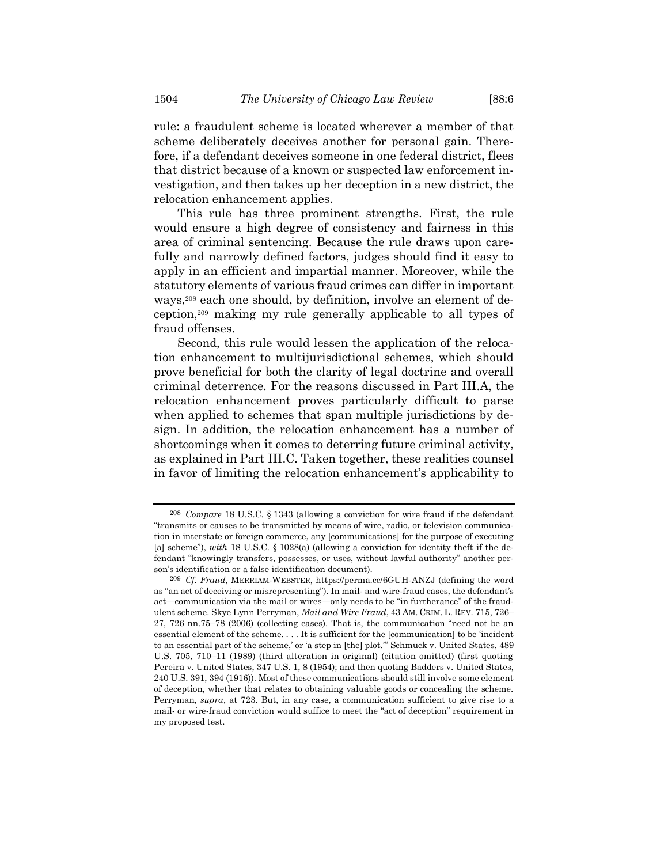rule: a fraudulent scheme is located wherever a member of that scheme deliberately deceives another for personal gain. Therefore, if a defendant deceives someone in one federal district, flees that district because of a known or suspected law enforcement investigation, and then takes up her deception in a new district, the relocation enhancement applies.

This rule has three prominent strengths. First, the rule would ensure a high degree of consistency and fairness in this area of criminal sentencing. Because the rule draws upon carefully and narrowly defined factors, judges should find it easy to apply in an efficient and impartial manner. Moreover, while the statutory elements of various fraud crimes can differ in important ways,<sup>208</sup> each one should, by definition, involve an element of deception,<sup>209</sup> making my rule generally applicable to all types of fraud offenses.

Second, this rule would lessen the application of the relocation enhancement to multijurisdictional schemes, which should prove beneficial for both the clarity of legal doctrine and overall criminal deterrence. For the reasons discussed in Part III.A, the relocation enhancement proves particularly difficult to parse when applied to schemes that span multiple jurisdictions by design. In addition, the relocation enhancement has a number of shortcomings when it comes to deterring future criminal activity, as explained in Part III.C. Taken together, these realities counsel in favor of limiting the relocation enhancement's applicability to

<sup>208</sup> *Compare* 18 U.S.C. § 1343 (allowing a conviction for wire fraud if the defendant "transmits or causes to be transmitted by means of wire, radio, or television communication in interstate or foreign commerce, any [communications] for the purpose of executing [a] scheme"), *with* 18 U.S.C. § 1028(a) (allowing a conviction for identity theft if the defendant "knowingly transfers, possesses, or uses, without lawful authority" another person's identification or a false identification document).

<sup>209</sup> *Cf. Fraud*, MERRIAM-WEBSTER, https://perma.cc/6GUH-ANZJ (defining the word as "an act of deceiving or misrepresenting"). In mail- and wire-fraud cases, the defendant's act—communication via the mail or wires—only needs to be "in furtherance" of the fraudulent scheme. Skye Lynn Perryman, *Mail and Wire Fraud*, 43 AM. CRIM. L. REV. 715, 726– 27, 726 nn.75–78 (2006) (collecting cases). That is, the communication "need not be an essential element of the scheme. . . . It is sufficient for the [communication] to be 'incident to an essential part of the scheme,' or 'a step in [the] plot.'" Schmuck v. United States, 489 U.S. 705, 710–11 (1989) (third alteration in original) (citation omitted) (first quoting Pereira v. United States, 347 U.S. 1, 8 (1954); and then quoting Badders v. United States, 240 U.S. 391, 394 (1916)). Most of these communications should still involve some element of deception, whether that relates to obtaining valuable goods or concealing the scheme. Perryman, *supra*, at 723. But, in any case, a communication sufficient to give rise to a mail- or wire-fraud conviction would suffice to meet the "act of deception" requirement in my proposed test.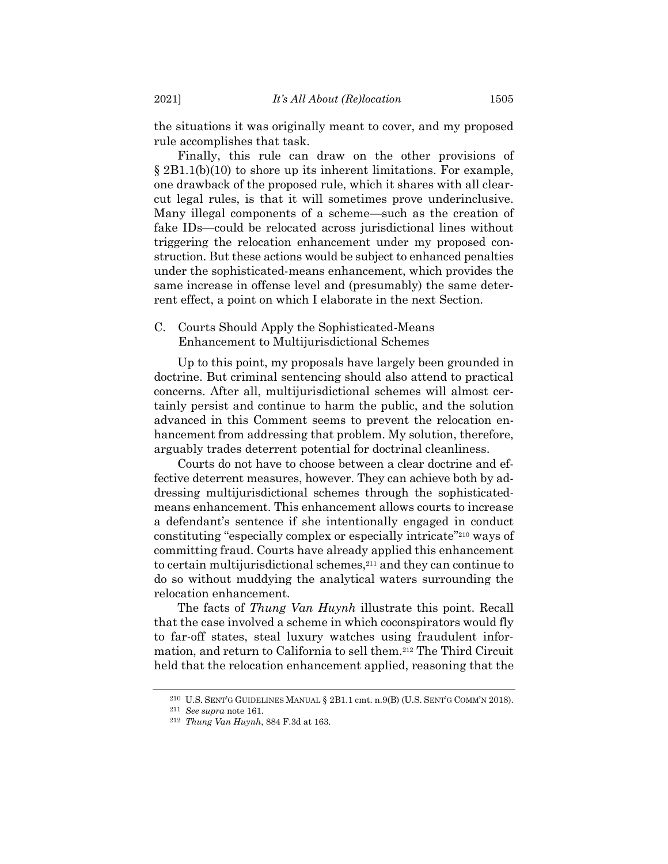the situations it was originally meant to cover, and my proposed rule accomplishes that task.

Finally, this rule can draw on the other provisions of § 2B1.1(b)(10) to shore up its inherent limitations. For example, one drawback of the proposed rule, which it shares with all clearcut legal rules, is that it will sometimes prove underinclusive. Many illegal components of a scheme—such as the creation of fake IDs—could be relocated across jurisdictional lines without triggering the relocation enhancement under my proposed construction. But these actions would be subject to enhanced penalties under the sophisticated-means enhancement, which provides the same increase in offense level and (presumably) the same deterrent effect, a point on which I elaborate in the next Section.

# C. Courts Should Apply the Sophisticated-Means Enhancement to Multijurisdictional Schemes

Up to this point, my proposals have largely been grounded in doctrine. But criminal sentencing should also attend to practical concerns. After all, multijurisdictional schemes will almost certainly persist and continue to harm the public, and the solution advanced in this Comment seems to prevent the relocation enhancement from addressing that problem. My solution, therefore, arguably trades deterrent potential for doctrinal cleanliness.

Courts do not have to choose between a clear doctrine and effective deterrent measures, however. They can achieve both by addressing multijurisdictional schemes through the sophisticatedmeans enhancement. This enhancement allows courts to increase a defendant's sentence if she intentionally engaged in conduct constituting "especially complex or especially intricate"<sup>210</sup> ways of committing fraud. Courts have already applied this enhancement to certain multijurisdictional schemes,<sup>211</sup> and they can continue to do so without muddying the analytical waters surrounding the relocation enhancement.

The facts of *Thung Van Huynh* illustrate this point. Recall that the case involved a scheme in which coconspirators would fly to far-off states, steal luxury watches using fraudulent information, and return to California to sell them.<sup>212</sup> The Third Circuit held that the relocation enhancement applied, reasoning that the

<sup>210</sup> U.S. SENT'G GUIDELINES MANUAL § 2B1.1 cmt. n.9(B) (U.S. SENT'G COMM'N 2018).

<sup>211</sup> *See supra* note [161.](#page-26-1)

<sup>212</sup> *Thung Van Huynh*, 884 F.3d at 163.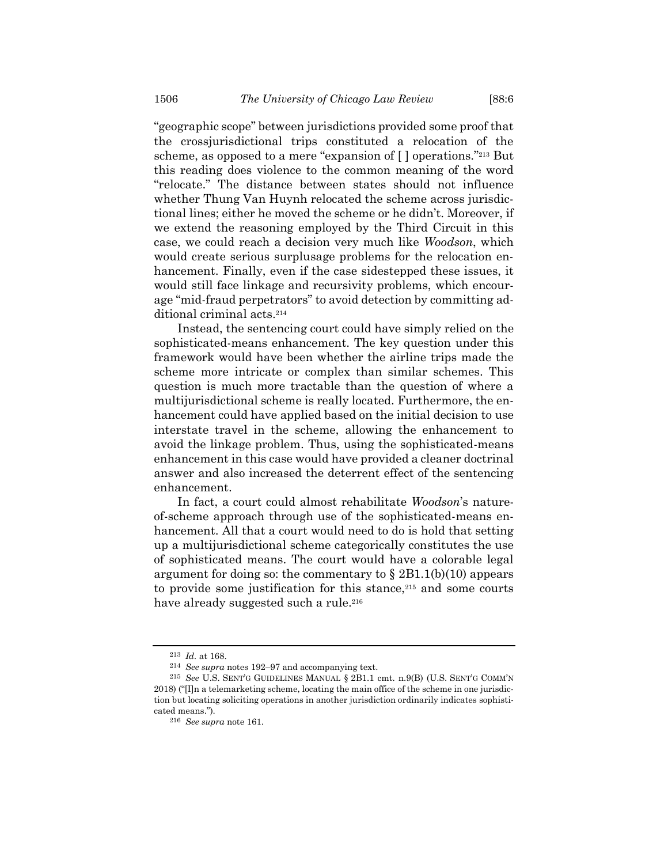"geographic scope" between jurisdictions provided some proof that the crossjurisdictional trips constituted a relocation of the scheme, as opposed to a mere "expansion of [] operations."<sup>213</sup> But this reading does violence to the common meaning of the word "relocate." The distance between states should not influence whether Thung Van Huynh relocated the scheme across jurisdictional lines; either he moved the scheme or he didn't. Moreover, if we extend the reasoning employed by the Third Circuit in this case, we could reach a decision very much like *Woodson*, which would create serious surplusage problems for the relocation enhancement. Finally, even if the case sidestepped these issues, it would still face linkage and recursivity problems, which encourage "mid-fraud perpetrators" to avoid detection by committing additional criminal acts. 214

Instead, the sentencing court could have simply relied on the sophisticated-means enhancement. The key question under this framework would have been whether the airline trips made the scheme more intricate or complex than similar schemes. This question is much more tractable than the question of where a multijurisdictional scheme is really located. Furthermore, the enhancement could have applied based on the initial decision to use interstate travel in the scheme, allowing the enhancement to avoid the linkage problem. Thus, using the sophisticated-means enhancement in this case would have provided a cleaner doctrinal answer and also increased the deterrent effect of the sentencing enhancement.

In fact, a court could almost rehabilitate *Woodson*'s natureof-scheme approach through use of the sophisticated-means enhancement. All that a court would need to do is hold that setting up a multijurisdictional scheme categorically constitutes the use of sophisticated means. The court would have a colorable legal argument for doing so: the commentary to  $\S 2B1.1(b)(10)$  appears to provide some justification for this stance,<sup>215</sup> and some courts have already suggested such a rule.<sup>216</sup>

<sup>213</sup> *Id.* at 168.

<sup>214</sup> *See supra* notes [192](#page-33-0)–97 and accompanying text.

<sup>215</sup> *See* U.S. SENT'G GUIDELINES MANUAL § 2B1.1 cmt. n.9(B) (U.S. SENT'G COMM'N 2018) ("[I]n a telemarketing scheme, locating the main office of the scheme in one jurisdiction but locating soliciting operations in another jurisdiction ordinarily indicates sophisticated means.").

<sup>216</sup> *See supra* note [161.](#page-26-1)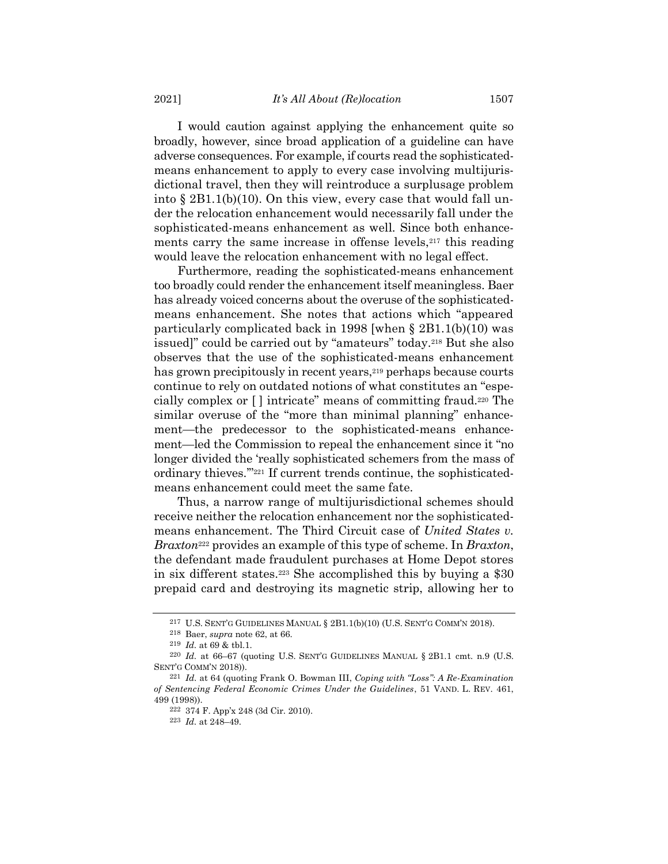I would caution against applying the enhancement quite so broadly, however, since broad application of a guideline can have adverse consequences. For example, if courts read the sophisticatedmeans enhancement to apply to every case involving multijurisdictional travel, then they will reintroduce a surplusage problem into § 2B1.1(b)(10). On this view, every case that would fall under the relocation enhancement would necessarily fall under the sophisticated-means enhancement as well. Since both enhancements carry the same increase in offense levels,<sup>217</sup> this reading would leave the relocation enhancement with no legal effect.

Furthermore, reading the sophisticated-means enhancement too broadly could render the enhancement itself meaningless. Baer has already voiced concerns about the overuse of the sophisticatedmeans enhancement. She notes that actions which "appeared particularly complicated back in 1998 [when § 2B1.1(b)(10) was issued]" could be carried out by "amateurs" today.<sup>218</sup> But she also observes that the use of the sophisticated-means enhancement has grown precipitously in recent years,<sup>219</sup> perhaps because courts continue to rely on outdated notions of what constitutes an "especially complex or [ ] intricate" means of committing fraud.<sup>220</sup> The similar overuse of the "more than minimal planning" enhancement—the predecessor to the sophisticated-means enhancement—led the Commission to repeal the enhancement since it "no longer divided the 'really sophisticated schemers from the mass of ordinary thieves.'"<sup>221</sup> If current trends continue, the sophisticatedmeans enhancement could meet the same fate.

Thus, a narrow range of multijurisdictional schemes should receive neither the relocation enhancement nor the sophisticatedmeans enhancement. The Third Circuit case of *United States v. Braxton*<sup>222</sup> provides an example of this type of scheme. In *Braxton*, the defendant made fraudulent purchases at Home Depot stores in six different states.<sup>223</sup> She accomplished this by buying a \$30 prepaid card and destroying its magnetic strip, allowing her to

<sup>217</sup> U.S. SENT'G GUIDELINES MANUAL § 2B1.1(b)(10) (U.S. SENT'G COMM'N 2018).

<sup>218</sup> Baer, *supra* note [62,](#page-10-0) at 66.

<sup>219</sup> *Id.* at 69 & tbl.1.

<sup>&</sup>lt;sup>220</sup> *Id.* at 66–67 (quoting U.S. SENT'G GUIDELINES MANUAL § 2B1.1 cmt. n.9 (U.S. SENT'G COMM'N 2018)).

<sup>221</sup> *Id.* at 64 (quoting Frank O. Bowman III, *Coping with "Loss": A Re-Examination of Sentencing Federal Economic Crimes Under the Guidelines*, 51 VAND. L. REV. 461, 499 (1998)).

<sup>222</sup> 374 F. App'x 248 (3d Cir. 2010).

<sup>223</sup> *Id.* at 248–49.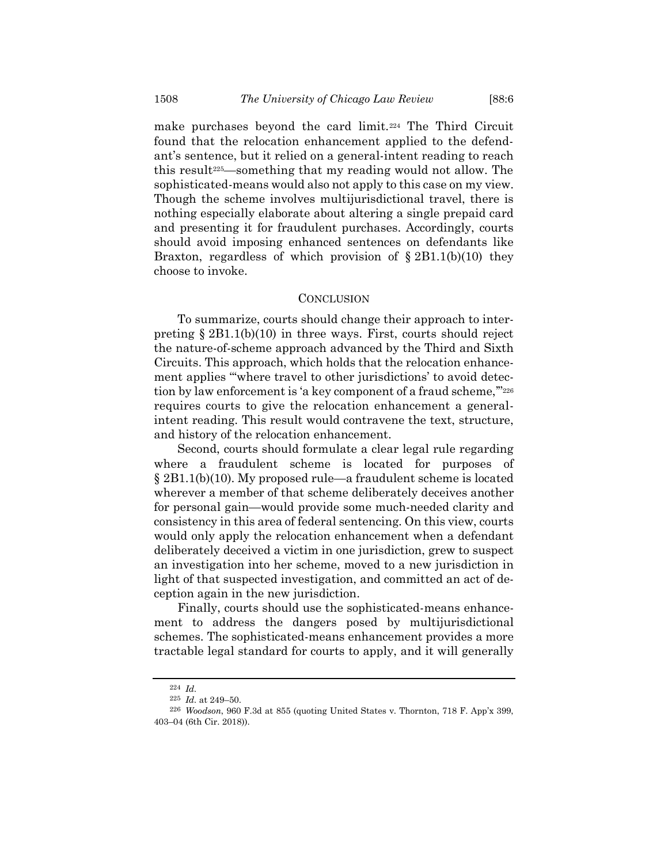make purchases beyond the card limit.<sup>224</sup> The Third Circuit found that the relocation enhancement applied to the defendant's sentence, but it relied on a general-intent reading to reach this result225—something that my reading would not allow. The sophisticated-means would also not apply to this case on my view. Though the scheme involves multijurisdictional travel, there is nothing especially elaborate about altering a single prepaid card and presenting it for fraudulent purchases. Accordingly, courts should avoid imposing enhanced sentences on defendants like Braxton, regardless of which provision of  $\S 2B1.1(b)(10)$  they choose to invoke.

## **CONCLUSION**

To summarize, courts should change their approach to interpreting § 2B1.1(b)(10) in three ways. First, courts should reject the nature-of-scheme approach advanced by the Third and Sixth Circuits. This approach, which holds that the relocation enhancement applies "'where travel to other jurisdictions' to avoid detection by law enforcement is 'a key component of a fraud scheme,""226 requires courts to give the relocation enhancement a generalintent reading. This result would contravene the text, structure, and history of the relocation enhancement.

Second, courts should formulate a clear legal rule regarding where a fraudulent scheme is located for purposes of § 2B1.1(b)(10). My proposed rule—a fraudulent scheme is located wherever a member of that scheme deliberately deceives another for personal gain—would provide some much-needed clarity and consistency in this area of federal sentencing. On this view, courts would only apply the relocation enhancement when a defendant deliberately deceived a victim in one jurisdiction, grew to suspect an investigation into her scheme, moved to a new jurisdiction in light of that suspected investigation, and committed an act of deception again in the new jurisdiction.

Finally, courts should use the sophisticated-means enhancement to address the dangers posed by multijurisdictional schemes. The sophisticated-means enhancement provides a more tractable legal standard for courts to apply, and it will generally

<sup>224</sup> *Id.*

<sup>225</sup> *Id.* at 249–50.

<sup>226</sup> *Woodson*, 960 F.3d at 855 (quoting United States v. Thornton, 718 F. App'x 399, 403–04 (6th Cir. 2018)).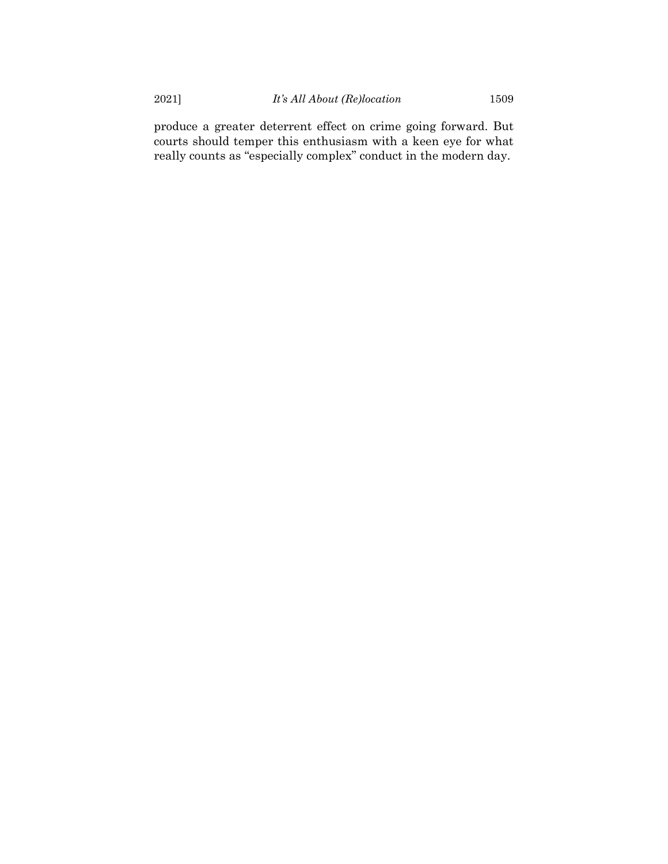produce a greater deterrent effect on crime going forward. But courts should temper this enthusiasm with a keen eye for what really counts as "especially complex" conduct in the modern day.